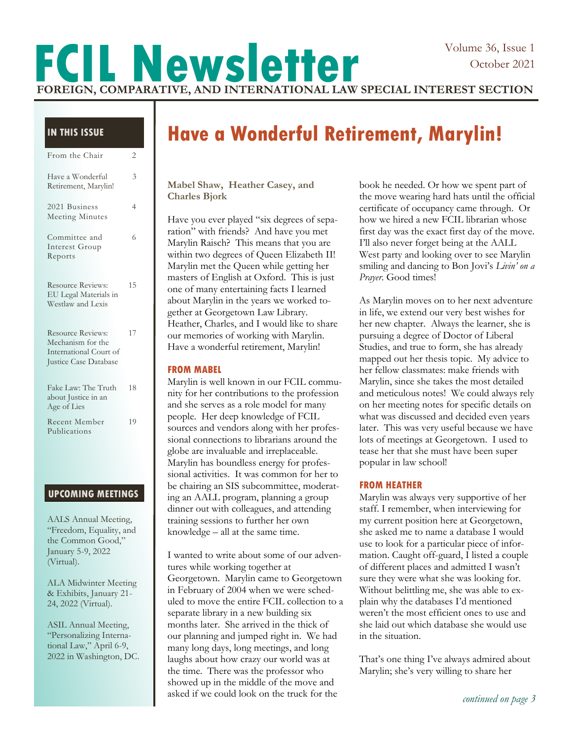# **FCIL Newsletter FOREIGN, COMPARATIVE, AND INTERNATIONAL LAW SPECIAL INTEREST SECTION**

### **IN THIS ISSUE**

| From the Chair                                                                            | 2  |
|-------------------------------------------------------------------------------------------|----|
| Have a Wonderful<br>Retirement, Marylin!                                                  | 3  |
| 2021 Business<br><b>Meeting Minutes</b>                                                   | 4  |
| Committee and<br>Interest Group<br>Reports                                                | 6  |
| <b>Resource Reviews:</b><br>EU Legal Materials in<br>Westlaw and Lexis                    | 15 |
| Resource Reviews:<br>Mechanism for the<br>International Court of<br>Justice Case Database | 17 |
| Fake Law: The Truth<br>about Justice in an<br>Age of Lies                                 | 18 |
| Recent Member<br>Publications                                                             | 19 |

### **UPCOMING MEETINGS**

AALS Annual Meeting, "Freedom, Equality, and the Common Good," January 5-9, 2022 (Virtual).

ALA Midwinter Meeting & Exhibits, January 21- 24, 2022 (Virtual).

ASIL Annual Meeting, "Personalizing International Law," April 6-9, 2022 in Washington, DC.

# **Have a Wonderful Retirement, Marylin!**

**Mabel Shaw, Heather Casey, and Charles Bjork**

Have you ever played "six degrees of separation" with friends? And have you met Marylin Raisch? This means that you are within two degrees of Queen Elizabeth II! Marylin met the Queen while getting her masters of English at Oxford. This is just one of many entertaining facts I learned about Marylin in the years we worked together at Georgetown Law Library. Heather, Charles, and I would like to share our memories of working with Marylin. Have a wonderful retirement, Marylin!

### **FROM MABEL**

Marylin is well known in our FCIL community for her contributions to the profession and she serves as a role model for many people. Her deep knowledge of FCIL sources and vendors along with her professional connections to librarians around the globe are invaluable and irreplaceable. Marylin has boundless energy for professional activities. It was common for her to be chairing an SIS subcommittee, moderating an AALL program, planning a group dinner out with colleagues, and attending training sessions to further her own knowledge – all at the same time.

I wanted to write about some of our adventures while working together at Georgetown. Marylin came to Georgetown in February of 2004 when we were scheduled to move the entire FCIL collection to a separate library in a new building six months later. She arrived in the thick of our planning and jumped right in. We had many long days, long meetings, and long laughs about how crazy our world was at the time. There was the professor who showed up in the middle of the move and asked if we could look on the truck for the

book he needed. Or how we spent part of the move wearing hard hats until the official certificate of occupancy came through. Or how we hired a new FCIL librarian whose first day was the exact first day of the move. I'll also never forget being at the AALL West party and looking over to see Marylin smiling and dancing to Bon Jovi's *Livin' on a Prayer*. Good times!

As Marylin moves on to her next adventure in life, we extend our very best wishes for her new chapter. Always the learner, she is pursuing a degree of Doctor of Liberal Studies, and true to form, she has already mapped out her thesis topic. My advice to her fellow classmates: make friends with Marylin, since she takes the most detailed and meticulous notes! We could always rely on her meeting notes for specific details on what was discussed and decided even years later. This was very useful because we have lots of meetings at Georgetown. I used to tease her that she must have been super popular in law school!

### **FROM HEATHER**

Marylin was always very supportive of her staff. I remember, when interviewing for my current position here at Georgetown, she asked me to name a database I would use to look for a particular piece of information. Caught off-guard, I listed a couple of different places and admitted I wasn't sure they were what she was looking for. Without belittling me, she was able to explain why the databases I'd mentioned weren't the most efficient ones to use and she laid out which database she would use in the situation.

That's one thing I've always admired about Marylin; she's very willing to share her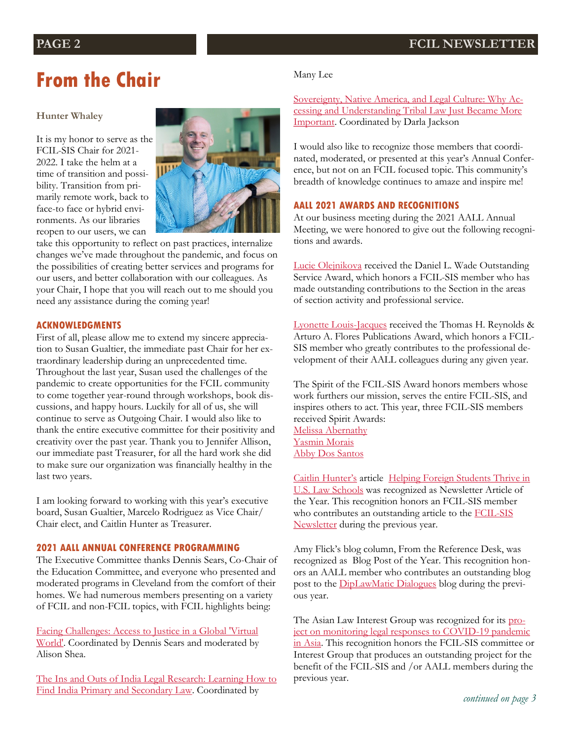# **From the Chair**

### **Hunter Whaley**

It is my honor to serve as the FCIL-SIS Chair for 2021- 2022. I take the helm at a time of transition and possibility. Transition from primarily remote work, back to face-to face or hybrid environments. As our libraries reopen to our users, we can



take this opportunity to reflect on past practices, internalize changes we've made throughout the pandemic, and focus on the possibilities of creating better services and programs for our users, and better collaboration with our colleagues. As your Chair, I hope that you will reach out to me should you need any assistance during the coming year!

### **ACKNOWLEDGMENTS**

First of all, please allow me to extend my sincere appreciation to Susan Gualtier, the immediate past Chair for her extraordinary leadership during an unprecedented time. Throughout the last year, Susan used the challenges of the pandemic to create opportunities for the FCIL community to come together year-round through workshops, book discussions, and happy hours. Luckily for all of us, she will continue to serve as Outgoing Chair. I would also like to thank the entire executive committee for their positivity and creativity over the past year. Thank you to Jennifer Allison, our immediate past Treasurer, for all the hard work she did to make sure our organization was financially healthy in the last two years.

I am looking forward to working with this year's executive board, Susan Gualtier, Marcelo Rodriguez as Vice Chair/ Chair elect, and Caitlin Hunter as Treasurer.

### **2021 AALL ANNUAL CONFERENCE PROGRAMMING**

The Executive Committee thanks Dennis Sears, Co-Chair of the Education Committee, and everyone who presented and moderated programs in Cleveland from the comfort of their homes. We had numerous members presenting on a variety of FCIL and non-FCIL topics, with FCIL highlights being:

[Facing Challenges: Access to Justice in a Global 'Virtual](https://www.eventscribe.net/2021/aall2021/index.asp?presTarget=1705937)  [World'.](https://www.eventscribe.net/2021/aall2021/index.asp?presTarget=1705937) Coordinated by Dennis Sears and moderated by Alison Shea.

[The Ins and Outs of India Legal Research: Learning How to](https://www.eventscribe.net/2021/includes/tracking/clickTracking.asp?lfp=S3loKytYaXpvcmtDTkFOY3NxV1hsdzVIWDV6Z0lraEV3TnlKSXU5Q2MwYVdBMi9iNG40WXkvR2ZkTGtSWUV0ZVVRb0YzbnpUbFJFQ1liWFFjbnl0aXJjYjFvMzVucjIwU0NHQXV1MGZEMWk0NjFWQzhoQUdMQ0FVNWEvYnYwMFNwLzN4KzZYQit)  [Find India Primary and Secondary Law.](https://www.eventscribe.net/2021/includes/tracking/clickTracking.asp?lfp=S3loKytYaXpvcmtDTkFOY3NxV1hsdzVIWDV6Z0lraEV3TnlKSXU5Q2MwYVdBMi9iNG40WXkvR2ZkTGtSWUV0ZVVRb0YzbnpUbFJFQ1liWFFjbnl0aXJjYjFvMzVucjIwU0NHQXV1MGZEMWk0NjFWQzhoQUdMQ0FVNWEvYnYwMFNwLzN4KzZYQit) Coordinated by

### Many Lee

[Sovereignty, Native America, and Legal Culture: Why Ac](https://www.eventscribeapp.com/live/videoPlayer.asp?lsfp=ZnNscUJQbzdXd01TTFdJalFRcUxhMnNSVjJQa2FnT0hZcWxsUjVhZ0J6dz0=)[cessing and Understanding Tribal Law Just Became More](https://www.eventscribeapp.com/live/videoPlayer.asp?lsfp=ZnNscUJQbzdXd01TTFdJalFRcUxhMnNSVjJQa2FnT0hZcWxsUjVhZ0J6dz0=)  [Important.](https://www.eventscribeapp.com/live/videoPlayer.asp?lsfp=ZnNscUJQbzdXd01TTFdJalFRcUxhMnNSVjJQa2FnT0hZcWxsUjVhZ0J6dz0=) Coordinated by Darla Jackson

I would also like to recognize those members that coordinated, moderated, or presented at this year's Annual Conference, but not on an FCIL focused topic. This community's breadth of knowledge continues to amaze and inspire me!

### **AALL 2021 AWARDS AND RECOGNITIONS**

At our business meeting during the 2021 AALL Annual Meeting, we were honored to give out the following recognitions and awards.

[Lucie Olejnikova](https://law.yale.edu/lucie-olejnikova) received the Daniel L. Wade Outstanding Service Award, which honors a FCIL-SIS member who has made outstanding contributions to the Section in the areas of section activity and professional service.

[Lyonette Louis-Jacques](https://www.law.uchicago.edu/faculty/louis-jacques) received the Thomas H. Reynolds & Arturo A. Flores Publications Award, which honors a FCIL-SIS member who greatly contributes to the professional development of their AALL colleagues during any given year.

The Spirit of the FCIL-SIS Award honors members whose work furthers our mission, serves the entire FCIL-SIS, and inspires others to act. This year, three FCIL-SIS members received Spirit Awards: [Melissa Abernathy](https://www.sandiego.edu/law/about/directory/biography.php?profile_id=2919) [Yasmin Morais](https://web.archive.org/web/20210419020802/https:/www.law.udc.edu/staff/details.asp?id=12470) [Abby Dos Santos](https://www.linkedin.com/in/abby-dos-santos-8065825/)

[Caitlin Hunter's](https://law.ucla.edu/faculty/faculty-profiles/caitlin-hunter) article [Helping Foreign Students Thrive in](https://www.aallnet.org/fcilsis/wp-content/uploads/sites/7/2020/02/FCIL_vol34no2_February2020.pdf)  [U.S. Law Schools](https://www.aallnet.org/fcilsis/wp-content/uploads/sites/7/2020/02/FCIL_vol34no2_February2020.pdf) was recognized as Newsletter Article of the Year. This recognition honors an FCIL-SIS member who contributes an outstanding article to the FCIL-SIS [Newsletter](https://www.aallnet.org/fcilsis/resources-publications/newsletter/) during the previous year.

Amy Flick's blog column, From the Reference Desk, was recognized as Blog Post of the Year. This recognition honors an AALL member who contributes an outstanding blog post to the **DipLawMatic Dialogues** blog during the previous year.

The Asian Law Interest Group was recognized for its [pro](https://docs.google.com/forms/d/e/1FAIpQLScPMQydTj-j9Z6FJaE7qjkU0l0szyjy5CysJXwbohQFgNaa5w/viewform)[ject on monitoring legal responses to COVID-19 pandemic](https://docs.google.com/forms/d/e/1FAIpQLScPMQydTj-j9Z6FJaE7qjkU0l0szyjy5CysJXwbohQFgNaa5w/viewform) [in Asia.](https://docs.google.com/forms/d/e/1FAIpQLScPMQydTj-j9Z6FJaE7qjkU0l0szyjy5CysJXwbohQFgNaa5w/viewform) This recognition honors the FCIL-SIS committee or Interest Group that produces an outstanding project for the benefit of the FCIL-SIS and /or AALL members during the previous year.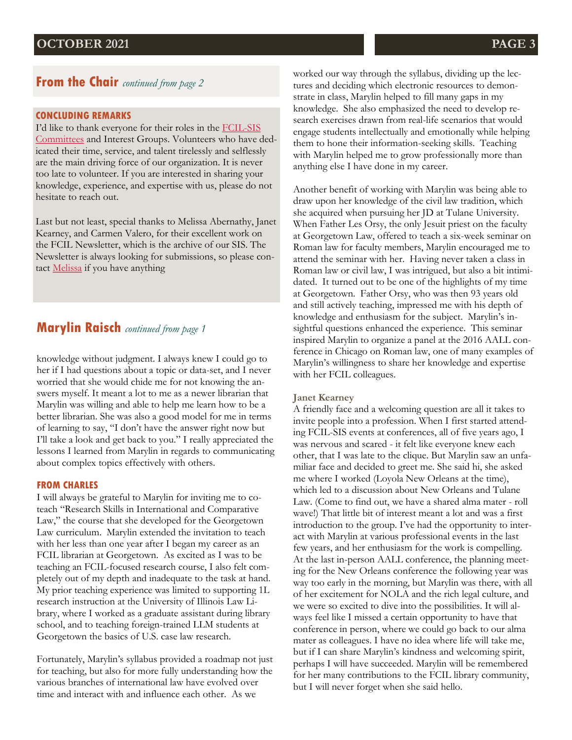### **From the Chair** *continued from page 2*

### **CONCLUDING REMARKS**

I'd like to thank everyone for their roles in the [FCIL-SIS](https://www.aallnet.org/fcilsis/about-us/committees-groups/)  [Committees](https://www.aallnet.org/fcilsis/about-us/committees-groups/) and Interest Groups. Volunteers who have dedicated their time, service, and talent tirelessly and selflessly are the main driving force of our organization. It is never too late to volunteer. If you are interested in sharing your knowledge, experience, and expertise with us, please do not hesitate to reach out.

Last but not least, special thanks to Melissa Abernathy, Janet Kearney, and Carmen Valero, for their excellent work on the FCIL Newsletter, which is the archive of our SIS. The Newsletter is always looking for submissions, so please con-tact [Melissa](mailto:mabernathy@sandiego.edu) if you have anything

### **Marylin Raisch** *continued from page 1*

knowledge without judgment. I always knew I could go to her if I had questions about a topic or data-set, and I never worried that she would chide me for not knowing the answers myself. It meant a lot to me as a newer librarian that Marylin was willing and able to help me learn how to be a better librarian. She was also a good model for me in terms of learning to say, "I don't have the answer right now but I'll take a look and get back to you." I really appreciated the lessons I learned from Marylin in regards to communicating about complex topics effectively with others.

### **FROM CHARLES**

I will always be grateful to Marylin for inviting me to coteach "Research Skills in International and Comparative Law," the course that she developed for the Georgetown Law curriculum. Marylin extended the invitation to teach with her less than one year after I began my career as an FCIL librarian at Georgetown. As excited as I was to be teaching an FCIL-focused research course, I also felt completely out of my depth and inadequate to the task at hand. My prior teaching experience was limited to supporting 1L research instruction at the University of Illinois Law Library, where I worked as a graduate assistant during library school, and to teaching foreign-trained LLM students at Georgetown the basics of U.S. case law research.

Fortunately, Marylin's syllabus provided a roadmap not just for teaching, but also for more fully understanding how the various branches of international law have evolved over time and interact with and influence each other. As we

worked our way through the syllabus, dividing up the lectures and deciding which electronic resources to demonstrate in class, Marylin helped to fill many gaps in my knowledge. She also emphasized the need to develop research exercises drawn from real-life scenarios that would engage students intellectually and emotionally while helping them to hone their information-seeking skills. Teaching with Marylin helped me to grow professionally more than anything else I have done in my career.

Another benefit of working with Marylin was being able to draw upon her knowledge of the civil law tradition, which she acquired when pursuing her JD at Tulane University. When Father Les Orsy, the only Jesuit priest on the faculty at Georgetown Law, offered to teach a six-week seminar on Roman law for faculty members, Marylin encouraged me to attend the seminar with her. Having never taken a class in Roman law or civil law, I was intrigued, but also a bit intimidated. It turned out to be one of the highlights of my time at Georgetown. Father Orsy, who was then 93 years old and still actively teaching, impressed me with his depth of knowledge and enthusiasm for the subject. Marylin's insightful questions enhanced the experience. This seminar inspired Marylin to organize a panel at the 2016 AALL conference in Chicago on Roman law, one of many examples of Marylin's willingness to share her knowledge and expertise with her FCIL colleagues.

#### **Janet Kearney**

A friendly face and a welcoming question are all it takes to invite people into a profession. When I first started attending FCIL-SIS events at conferences, all of five years ago, I was nervous and scared - it felt like everyone knew each other, that I was late to the clique. But Marylin saw an unfamiliar face and decided to greet me. She said hi, she asked me where I worked (Loyola New Orleans at the time), which led to a discussion about New Orleans and Tulane Law. (Come to find out, we have a shared alma mater - roll wave!) That little bit of interest meant a lot and was a first introduction to the group. I've had the opportunity to interact with Marylin at various professional events in the last few years, and her enthusiasm for the work is compelling. At the last in-person AALL conference, the planning meeting for the New Orleans conference the following year was way too early in the morning, but Marylin was there, with all of her excitement for NOLA and the rich legal culture, and we were so excited to dive into the possibilities. It will always feel like I missed a certain opportunity to have that conference in person, where we could go back to our alma mater as colleagues. I have no idea where life will take me, but if I can share Marylin's kindness and welcoming spirit, perhaps I will have succeeded. Marylin will be remembered for her many contributions to the FCIL library community, but I will never forget when she said hello.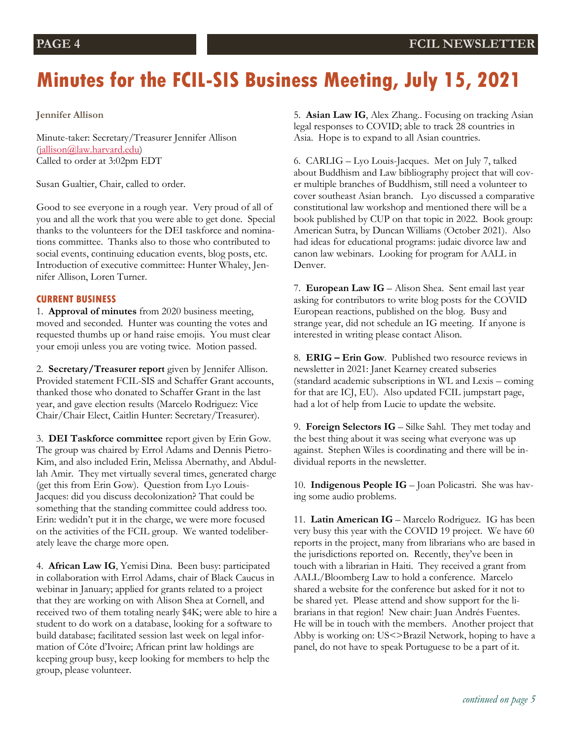# **Minutes for the FCIL-SIS Business Meeting, July 15, 2021**

**Jennifer Allison**

Minute-taker: Secretary/Treasurer Jennifer Allison [\(jallison@law.harvard.edu\)](mailto:jallison@law.harvard.edu) Called to order at 3:02pm EDT

Susan Gualtier, Chair, called to order.

Good to see everyone in a rough year. Very proud of all of you and all the work that you were able to get done. Special thanks to the volunteers for the DEI taskforce and nominations committee. Thanks also to those who contributed to social events, continuing education events, blog posts, etc. Introduction of executive committee: Hunter Whaley, Jennifer Allison, Loren Turner.

### **CURRENT BUSINESS**

1. **Approval of minutes** from 2020 business meeting, moved and seconded. Hunter was counting the votes and requested thumbs up or hand raise emojis. You must clear your emoji unless you are voting twice. Motion passed.

2. **Secretary/Treasurer report** given by Jennifer Allison. Provided statement FCIL-SIS and Schaffer Grant accounts, thanked those who donated to Schaffer Grant in the last year, and gave election results (Marcelo Rodriguez: Vice Chair/Chair Elect, Caitlin Hunter: Secretary/Treasurer).

3. **DEI Taskforce committee** report given by Erin Gow. The group was chaired by Errol Adams and Dennis Pietro-Kim, and also included Erin, Melissa Abernathy, and Abdullah Amir. They met virtually several times, generated charge (get this from Erin Gow). Question from Lyo Louis-Jacques: did you discuss decolonization? That could be something that the standing committee could address too. Erin: wedidn't put it in the charge, we were more focused on the activities of the FCIL group. We wanted todeliberately leave the charge more open.

4. **African Law IG**, Yemisi Dina. Been busy: participated in collaboration with Errol Adams, chair of Black Caucus in webinar in January; applied for grants related to a project that they are working on with Alison Shea at Cornell, and received two of them totaling nearly \$4K; were able to hire a student to do work on a database, looking for a software to build database; facilitated session last week on legal information of Côte d'Ivoire; African print law holdings are keeping group busy, keep looking for members to help the group, please volunteer.

5. **Asian Law IG**, Alex Zhang.. Focusing on tracking Asian legal responses to COVID; able to track 28 countries in Asia. Hope is to expand to all Asian countries.

6. CARLIG – Lyo Louis-Jacques. Met on July 7, talked about Buddhism and Law bibliography project that will cover multiple branches of Buddhism, still need a volunteer to cover southeast Asian branch. Lyo discussed a comparative constitutional law workshop and mentioned there will be a book published by CUP on that topic in 2022. Book group: American Sutra, by Duncan Williams (October 2021). Also had ideas for educational programs: judaic divorce law and canon law webinars. Looking for program for AALL in Denver.

7. **European Law IG** – Alison Shea. Sent email last year asking for contributors to write blog posts for the COVID European reactions, published on the blog. Busy and strange year, did not schedule an IG meeting. If anyone is interested in writing please contact Alison.

8. **ERIG – Erin Gow**. Published two resource reviews in newsletter in 2021: Janet Kearney created subseries (standard academic subscriptions in WL and Lexis – coming for that are ICJ, EU). Also updated FCIL jumpstart page, had a lot of help from Lucie to update the website.

9. **Foreign Selectors IG** – Silke Sahl. They met today and the best thing about it was seeing what everyone was up against. Stephen Wiles is coordinating and there will be individual reports in the newsletter.

10. **Indigenous People IG** – Joan Policastri. She was having some audio problems.

11. **Latin American IG** – Marcelo Rodriguez. IG has been very busy this year with the COVID 19 project. We have 60 reports in the project, many from librarians who are based in the jurisdictions reported on. Recently, they've been in touch with a librarian in Haiti. They received a grant from AALL/Bloomberg Law to hold a conference. Marcelo shared a website for the conference but asked for it not to be shared yet. Please attend and show support for the librarians in that region! New chair: Juan Andrés Fuentes. He will be in touch with the members. Another project that Abby is working on: US<>Brazil Network, hoping to have a panel, do not have to speak Portuguese to be a part of it.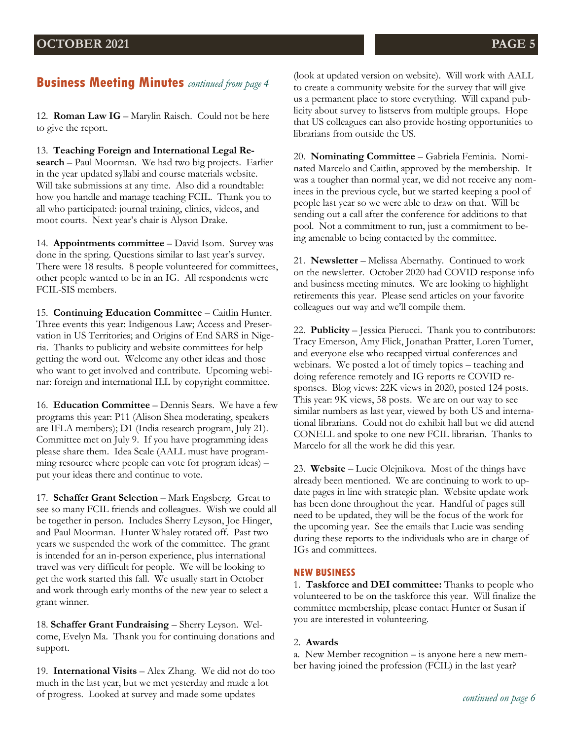## **Business Meeting Minutes** *continued from page 4*

12. **Roman Law IG** – Marylin Raisch. Could not be here to give the report.

13. **Teaching Foreign and International Legal Research** – Paul Moorman. We had two big projects. Earlier in the year updated syllabi and course materials website. Will take submissions at any time. Also did a roundtable: how you handle and manage teaching FCIL. Thank you to all who participated: journal training, clinics, videos, and moot courts. Next year's chair is Alyson Drake.

14. **Appointments committee** – David Isom. Survey was done in the spring. Questions similar to last year's survey. There were 18 results. 8 people volunteered for committees, other people wanted to be in an IG. All respondents were FCIL-SIS members.

15. **Continuing Education Committee** – Caitlin Hunter. Three events this year: Indigenous Law; Access and Preservation in US Territories; and Origins of End SARS in Nigeria. Thanks to publicity and website committees for help getting the word out. Welcome any other ideas and those who want to get involved and contribute. Upcoming webinar: foreign and international ILL by copyright committee.

16. **Education Committee** – Dennis Sears. We have a few programs this year: P11 (Alison Shea moderating, speakers are IFLA members); D1 (India research program, July 21). Committee met on July 9. If you have programming ideas please share them. Idea Scale (AALL must have programming resource where people can vote for program ideas) – put your ideas there and continue to vote.

17. **Schaffer Grant Selection** - Mark Engsberg. Great to see so many FCIL friends and colleagues. Wish we could all be together in person. Includes Sherry Leyson, Joe Hinger, and Paul Moorman. Hunter Whaley rotated off. Past two years we suspended the work of the committee. The grant is intended for an in-person experience, plus international travel was very difficult for people. We will be looking to get the work started this fall. We usually start in October and work through early months of the new year to select a grant winner.

18. **Schaffer Grant Fundraising - Sherry Leyson.** Welcome, Evelyn Ma. Thank you for continuing donations and support.

19. **International Visits** – Alex Zhang. We did not do too much in the last year, but we met yesterday and made a lot of progress. Looked at survey and made some updates

(look at updated version on website). Will work with AALL to create a community website for the survey that will give us a permanent place to store everything. Will expand publicity about survey to listservs from multiple groups. Hope that US colleagues can also provide hosting opportunities to librarians from outside the US.

20. **Nominating Committee** – Gabriela Feminia. Nominated Marcelo and Caitlin, approved by the membership. It was a tougher than normal year, we did not receive any nominees in the previous cycle, but we started keeping a pool of people last year so we were able to draw on that. Will be sending out a call after the conference for additions to that pool. Not a commitment to run, just a commitment to being amenable to being contacted by the committee.

21. **Newsletter** – Melissa Abernathy. Continued to work on the newsletter. October 2020 had COVID response info and business meeting minutes. We are looking to highlight retirements this year. Please send articles on your favorite colleagues our way and we'll compile them.

22. **Publicity** – Jessica Pierucci. Thank you to contributors: Tracy Emerson, Amy Flick, Jonathan Pratter, Loren Turner, and everyone else who recapped virtual conferences and webinars. We posted a lot of timely topics – teaching and doing reference remotely and IG reports re COVID responses. Blog views: 22K views in 2020, posted 124 posts. This year: 9K views, 58 posts. We are on our way to see similar numbers as last year, viewed by both US and international librarians. Could not do exhibit hall but we did attend CONELL and spoke to one new FCIL librarian. Thanks to Marcelo for all the work he did this year.

23. **Website** – Lucie Olejnikova. Most of the things have already been mentioned. We are continuing to work to update pages in line with strategic plan. Website update work has been done throughout the year. Handful of pages still need to be updated, they will be the focus of the work for the upcoming year. See the emails that Lucie was sending during these reports to the individuals who are in charge of IGs and committees.

### **NEW BUSINESS**

1. **Taskforce and DEI committee:** Thanks to people who volunteered to be on the taskforce this year. Will finalize the committee membership, please contact Hunter or Susan if you are interested in volunteering.

### 2. **Awards**

a. New Member recognition – is anyone here a new member having joined the profession (FCIL) in the last year?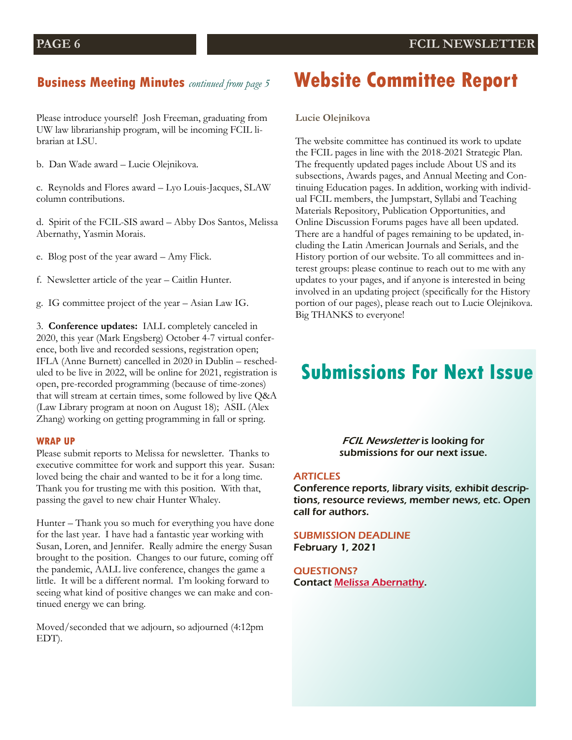### **Business Meeting Minutes** *continued from page 5*

Please introduce yourself! Josh Freeman, graduating from UW law librarianship program, will be incoming FCIL librarian at LSU.

b. Dan Wade award – Lucie Olejnikova.

c. Reynolds and Flores award – Lyo Louis-Jacques, SLAW column contributions.

d. Spirit of the FCIL-SIS award – Abby Dos Santos, Melissa Abernathy, Yasmin Morais.

e. Blog post of the year award – Amy Flick.

f. Newsletter article of the year – Caitlin Hunter.

g. IG committee project of the year – Asian Law IG.

3. **Conference updates:** IALL completely canceled in 2020, this year (Mark Engsberg) October 4-7 virtual conference, both live and recorded sessions, registration open; IFLA (Anne Burnett) cancelled in 2020 in Dublin – rescheduled to be live in 2022, will be online for 2021, registration is open, pre-recorded programming (because of time-zones) that will stream at certain times, some followed by live Q&A (Law Library program at noon on August 18); ASIL (Alex Zhang) working on getting programming in fall or spring.

#### **WRAP UP**

Please submit reports to Melissa for newsletter. Thanks to executive committee for work and support this year. Susan: loved being the chair and wanted to be it for a long time. Thank you for trusting me with this position. With that, passing the gavel to new chair Hunter Whaley.

Hunter – Thank you so much for everything you have done for the last year. I have had a fantastic year working with Susan, Loren, and Jennifer. Really admire the energy Susan brought to the position. Changes to our future, coming off the pandemic, AALL live conference, changes the game a little. It will be a different normal. I'm looking forward to seeing what kind of positive changes we can make and continued energy we can bring.

Moved/seconded that we adjourn, so adjourned (4:12pm EDT).

## **Website Committee Report**

**Lucie Olejnikova**

The website committee has continued its work to update the FCIL pages in line with the 2018-2021 Strategic Plan. The frequently updated pages include About US and its subsections, Awards pages, and Annual Meeting and Continuing Education pages. In addition, working with individual FCIL members, the Jumpstart, Syllabi and Teaching Materials Repository, Publication Opportunities, and Online Discussion Forums pages have all been updated. There are a handful of pages remaining to be updated, including the Latin American Journals and Serials, and the History portion of our website. To all committees and interest groups: please continue to reach out to me with any updates to your pages, and if anyone is interested in being involved in an updating project (specifically for the History portion of our pages), please reach out to Lucie Olejnikova. Big THANKS to everyone!

## **Submissions For Next Issue**

**FCIL Newsletter is looking for** submissions for our next issue.

#### ARTICLES

Conference reports, library visits, exhibit descriptions, resource reviews, member news, etc. Open call for authors.

SUBMISSION DEADLINE February 1, 2021

QUESTIONS? Contact [Melissa Abernathy.](mailto:mabernathy@sandiego.edu)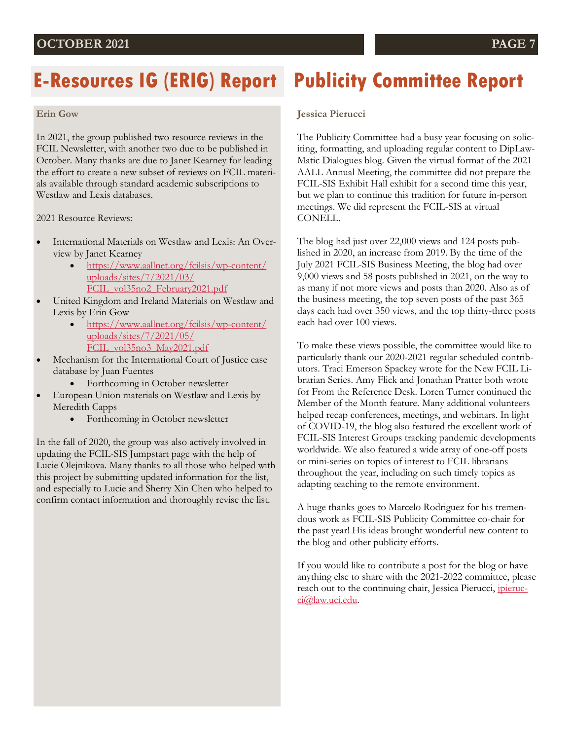# **E-Resources IG (ERIG) Report**

### **Erin Gow**

In 2021, the group published two resource reviews in the FCIL Newsletter, with another two due to be published in October. Many thanks are due to Janet Kearney for leading the effort to create a new subset of reviews on FCIL materials available through standard academic subscriptions to Westlaw and Lexis databases.

2021 Resource Reviews:

- International Materials on Westlaw and Lexis: An Overview by Janet Kearney
	- [https://www.aallnet.org/fcilsis/wp-content/](https://www.aallnet.org/fcilsis/wp-content/uploads/sites/7/2021/03/FCIL_vol35no2_February2021.pdf) [uploads/sites/7/2021/03/](https://www.aallnet.org/fcilsis/wp-content/uploads/sites/7/2021/03/FCIL_vol35no2_February2021.pdf) [FCIL\\_vol35no2\\_February2021.pdf](https://www.aallnet.org/fcilsis/wp-content/uploads/sites/7/2021/03/FCIL_vol35no2_February2021.pdf)
- United Kingdom and Ireland Materials on Westlaw and Lexis by Erin Gow
	- [https://www.aallnet.org/fcilsis/wp-content/](https://www.aallnet.org/fcilsis/wp-content/uploads/sites/7/2021/05/FCIL_vol35no3_May2021.pdf) [uploads/sites/7/2021/05/](https://www.aallnet.org/fcilsis/wp-content/uploads/sites/7/2021/05/FCIL_vol35no3_May2021.pdf) FCIL vol35no3 May2021.pdf
- Mechanism for the International Court of Justice case database by Juan Fuentes
	- Forthcoming in October newsletter
- European Union materials on Westlaw and Lexis by Meredith Capps
	- Forthcoming in October newsletter

In the fall of 2020, the group was also actively involved in updating the FCIL-SIS Jumpstart page with the help of Lucie Olejnikova. Many thanks to all those who helped with this project by submitting updated information for the list, and especially to Lucie and Sherry Xin Chen who helped to confirm contact information and thoroughly revise the list.

# **Publicity Committee Report**

### **Jessica Pierucci**

The Publicity Committee had a busy year focusing on soliciting, formatting, and uploading regular content to DipLaw-Matic Dialogues blog. Given the virtual format of the 2021 AALL Annual Meeting, the committee did not prepare the FCIL-SIS Exhibit Hall exhibit for a second time this year, but we plan to continue this tradition for future in-person meetings. We did represent the FCIL-SIS at virtual CONELL.

The blog had just over 22,000 views and 124 posts published in 2020, an increase from 2019. By the time of the July 2021 FCIL-SIS Business Meeting, the blog had over 9,000 views and 58 posts published in 2021, on the way to as many if not more views and posts than 2020. Also as of the business meeting, the top seven posts of the past 365 days each had over 350 views, and the top thirty-three posts each had over 100 views.

To make these views possible, the committee would like to particularly thank our 2020-2021 regular scheduled contributors. Traci Emerson Spackey wrote for the New FCIL Librarian Series. Amy Flick and Jonathan Pratter both wrote for From the Reference Desk. Loren Turner continued the Member of the Month feature. Many additional volunteers helped recap conferences, meetings, and webinars. In light of COVID-19, the blog also featured the excellent work of FCIL-SIS Interest Groups tracking pandemic developments worldwide. We also featured a wide array of one-off posts or mini-series on topics of interest to FCIL librarians throughout the year, including on such timely topics as adapting teaching to the remote environment.

A huge thanks goes to Marcelo Rodriguez for his tremendous work as FCIL-SIS Publicity Committee co-chair for the past year! His ideas brought wonderful new content to the blog and other publicity efforts.

If you would like to contribute a post for the blog or have anything else to share with the 2021-2022 committee, please reach out to the continuing chair, Jessica Pierucci, *[jpieruc](mailto:jpierucci@law.uci.edu)*[ci@law.uci.edu.](mailto:jpierucci@law.uci.edu)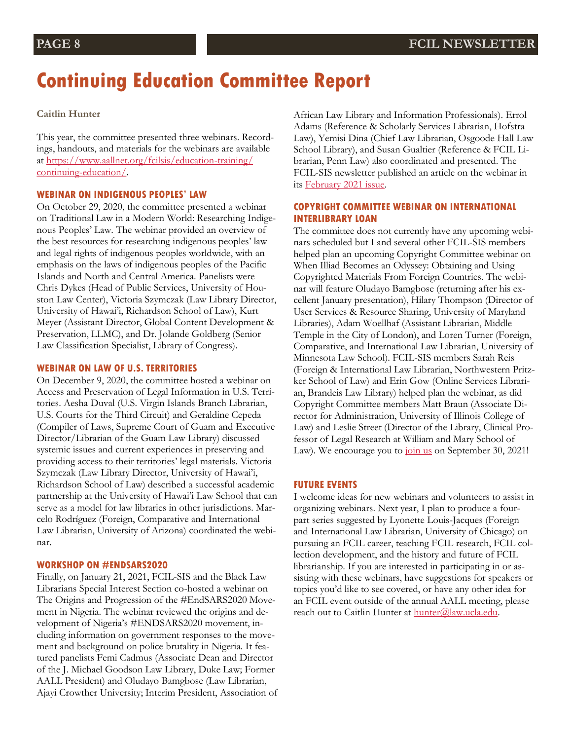## **Continuing Education Committee Report**

### **Caitlin Hunter**

This year, the committee presented three webinars. Recordings, handouts, and materials for the webinars are available at [https://www.aallnet.org/fcilsis/education-training/](https://www.aallnet.org/fcilsis/education-training/continuing-education/) [continuing-education/.](https://www.aallnet.org/fcilsis/education-training/continuing-education/) 

### **WEBINAR ON INDIGENOUS PEOPLES' LAW**

On October 29, 2020, the committee presented a webinar on Traditional Law in a Modern World: Researching Indigenous Peoples' Law. The webinar provided an overview of the best resources for researching indigenous peoples' law and legal rights of indigenous peoples worldwide, with an emphasis on the laws of indigenous peoples of the Pacific Islands and North and Central America. Panelists were Chris Dykes (Head of Public Services, University of Houston Law Center), Victoria Szymczak (Law Library Director, University of Hawai'i, Richardson School of Law), Kurt Meyer (Assistant Director, Global Content Development & Preservation, LLMC), and Dr. Jolande Goldberg (Senior Law Classification Specialist, Library of Congress).

#### **WEBINAR ON LAW OF U.S. TERRITORIES**

On December 9, 2020, the committee hosted a webinar on Access and Preservation of Legal Information in U.S. Territories. Aesha Duval (U.S. Virgin Islands Branch Librarian, U.S. Courts for the Third Circuit) and Geraldine Cepeda (Compiler of Laws, Supreme Court of Guam and Executive Director/Librarian of the Guam Law Library) discussed systemic issues and current experiences in preserving and providing access to their territories' legal materials. Victoria Szymczak (Law Library Director, University of Hawai'i, Richardson School of Law) described a successful academic partnership at the University of Hawai'i Law School that can serve as a model for law libraries in other jurisdictions. Marcelo Rodríguez (Foreign, Comparative and International Law Librarian, University of Arizona) coordinated the webinar.

#### **WORKSHOP ON #ENDSARS2020**

Finally, on January 21, 2021, FCIL-SIS and the Black Law Librarians Special Interest Section co-hosted a webinar on The Origins and Progression of the #EndSARS2020 Movement in Nigeria. The webinar reviewed the origins and development of Nigeria's #ENDSARS2020 movement, including information on government responses to the movement and background on police brutality in Nigeria. It featured panelists Femi Cadmus (Associate Dean and Director of the J. Michael Goodson Law Library, Duke Law; Former AALL President) and Oludayo Bamgbose (Law Librarian, Ajayi Crowther University; Interim President, Association of African Law Library and Information Professionals). Errol Adams (Reference & Scholarly Services Librarian, Hofstra Law), Yemisi Dina (Chief Law Librarian, Osgoode Hall Law School Library), and Susan Gualtier (Reference & FCIL Librarian, Penn Law) also coordinated and presented. The FCIL-SIS newsletter published an article on the webinar in its [February 2021 issue.](https://www.aallnet.org/fcilsis/wp-content/uploads/sites/7/2021/03/FCIL_vol35no2_February2021.pdf)

### **COPYRIGHT COMMITTEE WEBINAR ON INTERNATIONAL INTERLIBRARY LOAN**

The committee does not currently have any upcoming webinars scheduled but I and several other FCIL-SIS members helped plan an upcoming Copyright Committee webinar on When Illiad Becomes an Odyssey: Obtaining and Using Copyrighted Materials From Foreign Countries. The webinar will feature Oludayo Bamgbose (returning after his excellent January presentation), Hilary Thompson (Director of User Services & Resource Sharing, University of Maryland Libraries), Adam Woellhaf (Assistant Librarian, Middle Temple in the City of London), and Loren Turner (Foreign, Comparative, and International Law Librarian, University of Minnesota Law School). FCIL-SIS members Sarah Reis (Foreign & International Law Librarian, Northwestern Pritzker School of Law) and Erin Gow (Online Services Librarian, Brandeis Law Library) helped plan the webinar, as did Copyright Committee members Matt Braun (Associate Director for Administration, University of Illinois College of Law) and Leslie Street (Director of the Library, Clinical Professor of Legal Research at William and Mary School of Law). We encourage you to [join us](https://www.aallnet.org/forms/meeting/MeetingFormPublic/view?id=5E9EF000004EC) on September 30, 2021!

### **FUTURE EVENTS**

I welcome ideas for new webinars and volunteers to assist in organizing webinars. Next year, I plan to produce a fourpart series suggested by Lyonette Louis-Jacques (Foreign and International Law Librarian, University of Chicago) on pursuing an FCIL career, teaching FCIL research, FCIL collection development, and the history and future of FCIL librarianship. If you are interested in participating in or assisting with these webinars, have suggestions for speakers or topics you'd like to see covered, or have any other idea for an FCIL event outside of the annual AALL meeting, please reach out to Caitlin Hunter at [hunter@law.ucla.edu.](mailto:hunter@law.ucla.edu)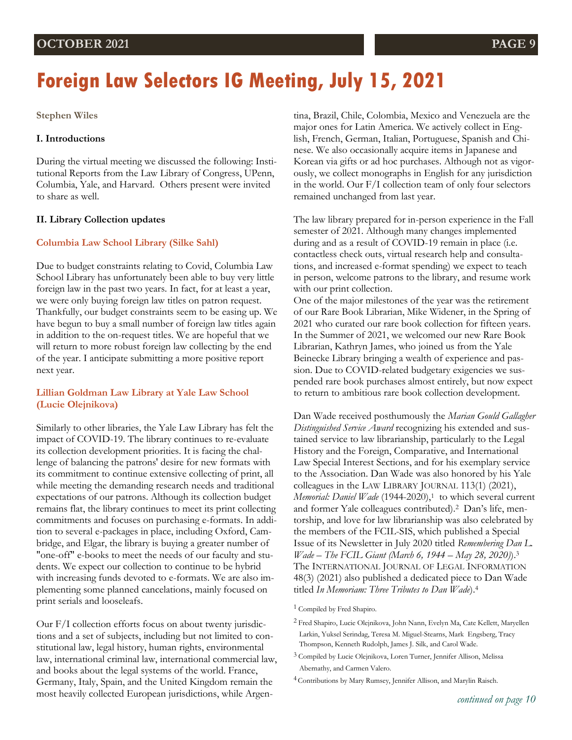# **Foreign Law Selectors IG Meeting, July 15, 2021**

### **Stephen Wiles**

### **I. Introductions**

During the virtual meeting we discussed the following: Institutional Reports from the Law Library of Congress, UPenn, Columbia, Yale, and Harvard. Others present were invited to share as well.

#### **II. Library Collection updates**

#### **Columbia Law School Library (Silke Sahl)**

Due to budget constraints relating to Covid, Columbia Law School Library has unfortunately been able to buy very little foreign law in the past two years. In fact, for at least a year, we were only buying foreign law titles on patron request. Thankfully, our budget constraints seem to be easing up. We have begun to buy a small number of foreign law titles again in addition to the on-request titles. We are hopeful that we will return to more robust foreign law collecting by the end of the year. I anticipate submitting a more positive report next year.

### **Lillian Goldman Law Library at Yale Law School (Lucie Olejnikova)**

Similarly to other libraries, the Yale Law Library has felt the impact of COVID-19. The library continues to re-evaluate its collection development priorities. It is facing the challenge of balancing the patrons' desire for new formats with its commitment to continue extensive collecting of print, all while meeting the demanding research needs and traditional expectations of our patrons. Although its collection budget remains flat, the library continues to meet its print collecting commitments and focuses on purchasing e-formats. In addition to several e-packages in place, including Oxford, Cambridge, and Elgar, the library is buying a greater number of "one-off" e-books to meet the needs of our faculty and students. We expect our collection to continue to be hybrid with increasing funds devoted to e-formats. We are also implementing some planned cancelations, mainly focused on print serials and looseleafs.

Our F/I collection efforts focus on about twenty jurisdictions and a set of subjects, including but not limited to constitutional law, legal history, human rights, environmental law, international criminal law, international commercial law, and books about the legal systems of the world. France, Germany, Italy, Spain, and the United Kingdom remain the most heavily collected European jurisdictions, while Argentina, Brazil, Chile, Colombia, Mexico and Venezuela are the major ones for Latin America. We actively collect in English, French, German, Italian, Portuguese, Spanish and Chinese. We also occasionally acquire items in Japanese and Korean via gifts or ad hoc purchases. Although not as vigorously, we collect monographs in English for any jurisdiction in the world. Our F/I collection team of only four selectors remained unchanged from last year.

The law library prepared for in-person experience in the Fall semester of 2021. Although many changes implemented during and as a result of COVID-19 remain in place (i.e. contactless check outs, virtual research help and consultations, and increased e-format spending) we expect to teach in person, welcome patrons to the library, and resume work with our print collection.

One of the major milestones of the year was the retirement of our Rare Book Librarian, Mike Widener, in the Spring of 2021 who curated our rare book collection for fifteen years. In the Summer of 2021, we welcomed our new Rare Book Librarian, Kathryn James, who joined us from the Yale Beinecke Library bringing a wealth of experience and passion. Due to COVID-related budgetary exigencies we suspended rare book purchases almost entirely, but now expect to return to ambitious rare book collection development.

Dan Wade received posthumously the *Marian Gould Gallagher Distinguished Service Award* recognizing his extended and sustained service to law librarianship, particularly to the Legal History and the Foreign, Comparative, and International Law Special Interest Sections, and for his exemplary service to the Association. Dan Wade was also honored by his Yale colleagues in the LAW LIBRARY JOURNAL 113(1) (2021), *Memorial: Daniel Wade* (1944-2020),<sup>1</sup> to which several current and former Yale colleagues contributed).2 Dan's life, mentorship, and love for law librarianship was also celebrated by the members of the FCIL-SIS, which published a Special Issue of its Newsletter in July 2020 titled *Remembering Dan L. Wade – The FCIL Giant (March 6, 1944 – May 28, 2020)*).<sup>3</sup> The INTERNATIONAL JOURNAL OF LEGAL INFORMATION 48(3) (2021) also published a dedicated piece to Dan Wade titled *In Memoriam: Three Tributes to Dan Wade*).<sup>4</sup>

<sup>1</sup> Compiled by Fred Shapiro.

<sup>2</sup> Fred Shapiro, Lucie Olejnikova, John Nann, Evelyn Ma, Cate Kellett, Maryellen Larkin, Yuksel Serindag, Teresa M. Miguel-Stearns, Mark Engsberg, Tracy Thompson, Kenneth Rudolph, James J. Silk, and Carol Wade.

<sup>3</sup> Compiled by Lucie Olejnikova, Loren Turner, Jennifer Allison, Melissa Abernathy, and Carmen Valero.

<sup>4</sup> Contributions by Mary Rumsey, Jennifer Allison, and Marylin Raisch.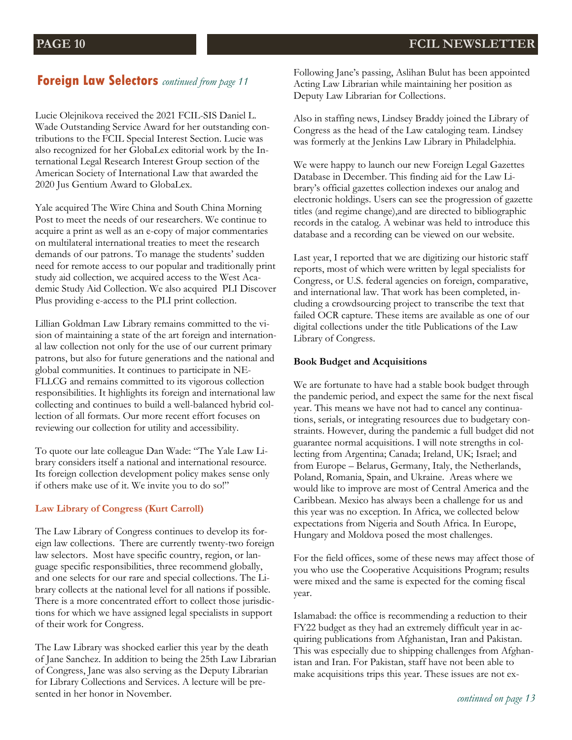## **Foreign Law Selectors** *continued from page 11*

Lucie Olejnikova received the 2021 FCIL-SIS Daniel L. Wade Outstanding Service Award for her outstanding contributions to the FCIL Special Interest Section. Lucie was also recognized for her GlobaLex editorial work by the International Legal Research Interest Group section of the American Society of International Law that awarded the 2020 Jus Gentium Award to GlobaLex.

Yale acquired The Wire China and South China Morning Post to meet the needs of our researchers. We continue to acquire a print as well as an e-copy of major commentaries on multilateral international treaties to meet the research demands of our patrons. To manage the students' sudden need for remote access to our popular and traditionally print study aid collection, we acquired access to the West Academic Study Aid Collection. We also acquired PLI Discover Plus providing e-access to the PLI print collection.

Lillian Goldman Law Library remains committed to the vision of maintaining a state of the art foreign and international law collection not only for the use of our current primary patrons, but also for future generations and the national and global communities. It continues to participate in NE-FLLCG and remains committed to its vigorous collection responsibilities. It highlights its foreign and international law collecting and continues to build a well-balanced hybrid collection of all formats. Our more recent effort focuses on reviewing our collection for utility and accessibility.

To quote our late colleague Dan Wade: "The Yale Law Library considers itself a national and international resource. Its foreign collection development policy makes sense only if others make use of it. We invite you to do so!"

### **Law Library of Congress (Kurt Carroll)**

The Law Library of Congress continues to develop its foreign law collections. There are currently twenty-two foreign law selectors. Most have specific country, region, or language specific responsibilities, three recommend globally, and one selects for our rare and special collections. The Library collects at the national level for all nations if possible. There is a more concentrated effort to collect those jurisdictions for which we have assigned legal specialists in support of their work for Congress.

The Law Library was shocked earlier this year by the death of Jane Sanchez. In addition to being the 25th Law Librarian of Congress, Jane was also serving as the Deputy Librarian for Library Collections and Services. A lecture will be presented in her honor in November.

Following Jane's passing, Aslihan Bulut has been appointed Acting Law Librarian while maintaining her position as Deputy Law Librarian for Collections.

Also in staffing news, Lindsey Braddy joined the Library of Congress as the head of the Law cataloging team. Lindsey was formerly at the Jenkins Law Library in Philadelphia.

We were happy to launch our new Foreign Legal Gazettes Database in December. This finding aid for the Law Library's official gazettes collection indexes our analog and electronic holdings. Users can see the progression of gazette titles (and regime change),and are directed to bibliographic records in the catalog. A webinar was held to introduce this database and a recording can be viewed on our website.

Last year, I reported that we are digitizing our historic staff reports, most of which were written by legal specialists for Congress, or U.S. federal agencies on foreign, comparative, and international law. That work has been completed, including a crowdsourcing project to transcribe the text that failed OCR capture. These items are available as one of our digital collections under the title Publications of the Law Library of Congress.

### **Book Budget and Acquisitions**

We are fortunate to have had a stable book budget through the pandemic period, and expect the same for the next fiscal year. This means we have not had to cancel any continuations, serials, or integrating resources due to budgetary constraints. However, during the pandemic a full budget did not guarantee normal acquisitions. I will note strengths in collecting from Argentina; Canada; Ireland, UK; Israel; and from Europe – Belarus, Germany, Italy, the Netherlands, Poland, Romania, Spain, and Ukraine. Areas where we would like to improve are most of Central America and the Caribbean. Mexico has always been a challenge for us and this year was no exception. In Africa, we collected below expectations from Nigeria and South Africa. In Europe, Hungary and Moldova posed the most challenges.

For the field offices, some of these news may affect those of you who use the Cooperative Acquisitions Program; results were mixed and the same is expected for the coming fiscal year.

Islamabad: the office is recommending a reduction to their FY22 budget as they had an extremely difficult year in acquiring publications from Afghanistan, Iran and Pakistan. This was especially due to shipping challenges from Afghanistan and Iran. For Pakistan, staff have not been able to make acquisitions trips this year. These issues are not ex-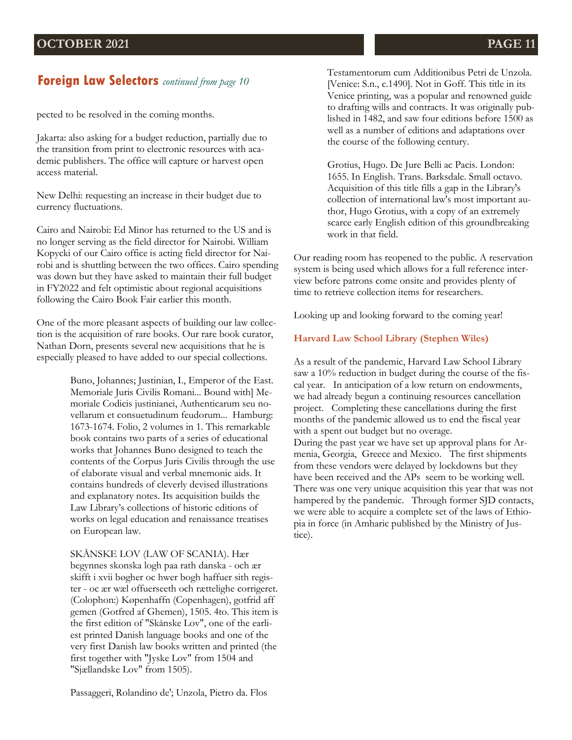## **Foreign Law Selectors** *continued from page 10*

pected to be resolved in the coming months.

Jakarta: also asking for a budget reduction, partially due to the transition from print to electronic resources with academic publishers. The office will capture or harvest open access material.

New Delhi: requesting an increase in their budget due to currency fluctuations.

Cairo and Nairobi: Ed Minor has returned to the US and is no longer serving as the field director for Nairobi. William Kopycki of our Cairo office is acting field director for Nairobi and is shuttling between the two offices. Cairo spending was down but they have asked to maintain their full budget in FY2022 and felt optimistic about regional acquisitions following the Cairo Book Fair earlier this month.

One of the more pleasant aspects of building our law collection is the acquisition of rare books. Our rare book curator, Nathan Dorn, presents several new acquisitions that he is especially pleased to have added to our special collections.

> Buno, Johannes; Justinian, I., Emperor of the East. Memoriale Juris Civilis Romani... Bound with] Memoriale Codicis justinianei, Authenticarum seu novellarum et consuetudinum feudorum... Hamburg: 1673-1674. Folio, 2 volumes in 1. This remarkable book contains two parts of a series of educational works that Johannes Buno designed to teach the contents of the Corpus Juris Civilis through the use of elaborate visual and verbal mnemonic aids. It contains hundreds of cleverly devised illustrations and explanatory notes. Its acquisition builds the Law Library's collections of historic editions of works on legal education and renaissance treatises on European law.

SKÅNSKE LOV (LAW OF SCANIA). Hær begynnes skonska logh paa rath danska - och ær skifft i xvii bøgher oc hwer bogh haffuer sith register - oc ær wæl offuerseeth och rættelighe corrigeret. (Colophon:) Køpenhaffn (Copenhagen), gotfrid aff gemen (Gotfred af Ghemen), 1505. 4to. This item is the first edition of "Skånske Lov", one of the earliest printed Danish language books and one of the very first Danish law books written and printed (the first together with "Jyske Lov" from 1504 and "Sjællandske Lov" from 1505).

Passaggeri, Rolandino de'; Unzola, Pietro da. Flos

Testamentorum cum Additionibus Petri de Unzola. [Venice: S.n., c.1490]. Not in Goff. This title in its Venice printing, was a popular and renowned guide to drafting wills and contracts. It was originally published in 1482, and saw four editions before 1500 as well as a number of editions and adaptations over the course of the following century.

Grotius, Hugo. De Jure Belli ac Pacis. London: 1655. In English. Trans. Barksdale. Small octavo. Acquisition of this title fills a gap in the Library's collection of international law's most important author, Hugo Grotius, with a copy of an extremely scarce early English edition of this groundbreaking work in that field.

Our reading room has reopened to the public. A reservation system is being used which allows for a full reference interview before patrons come onsite and provides plenty of time to retrieve collection items for researchers.

Looking up and looking forward to the coming year!

### **Harvard Law School Library (Stephen Wiles)**

As a result of the pandemic, Harvard Law School Library saw a 10% reduction in budget during the course of the fiscal year. In anticipation of a low return on endowments, we had already begun a continuing resources cancellation project. Completing these cancellations during the first months of the pandemic allowed us to end the fiscal year with a spent out budget but no overage.

During the past year we have set up approval plans for Armenia, Georgia, Greece and Mexico. The first shipments from these vendors were delayed by lockdowns but they have been received and the APs seem to be working well. There was one very unique acquisition this year that was not hampered by the pandemic. Through former SJD contacts, we were able to acquire a complete set of the laws of Ethiopia in force (in Amharic published by the Ministry of Justice).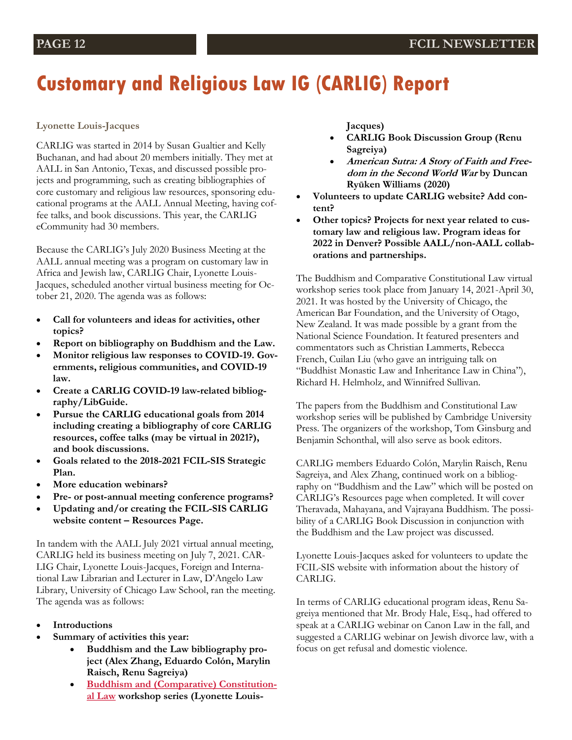## **Customary and Religious Law IG (CARLIG) Report**

### **Lyonette Louis-Jacques**

CARLIG was started in 2014 by Susan Gualtier and Kelly Buchanan, and had about 20 members initially. They met at AALL in San Antonio, Texas, and discussed possible projects and programming, such as creating bibliographies of core customary and religious law resources, sponsoring educational programs at the AALL Annual Meeting, having coffee talks, and book discussions. This year, the CARLIG eCommunity had 30 members.

Because the CARLIG's July 2020 Business Meeting at the AALL annual meeting was a program on customary law in Africa and Jewish law, CARLIG Chair, Lyonette Louis-Jacques, scheduled another virtual business meeting for October 21, 2020. The agenda was as follows:

- **Call for volunteers and ideas for activities, other topics?**
- **Report on bibliography on Buddhism and the Law.**
- **Monitor religious law responses to COVID-19. Governments, religious communities, and COVID-19 law.**
- **Create a CARLIG COVID-19 law-related bibliography/LibGuide.**
- **Pursue the CARLIG educational goals from 2014 including creating a bibliography of core CARLIG resources, coffee talks (may be virtual in 2021?), and book discussions.**
- **Goals related to the 2018-2021 FCIL-SIS Strategic Plan.**
- **More education webinars?**
- **Pre- or post-annual meeting conference programs?**
- **Updating and/or creating the FCIL-SIS CARLIG website content – Resources Page.**

In tandem with the AALL July 2021 virtual annual meeting, CARLIG held its business meeting on July 7, 2021. CAR-LIG Chair, Lyonette Louis-Jacques, Foreign and International Law Librarian and Lecturer in Law, D'Angelo Law Library, University of Chicago Law School, ran the meeting. The agenda was as follows:

- **Introductions**
- **Summary of activities this year:**
	- **Buddhism and the Law bibliography project (Alex Zhang, Eduardo Colón, Marylin Raisch, Renu Sagreiya)**
	- **[Buddhism and \(Comparative\) Constitution](https://www.constitutionalbuddhism.org/)[al Law](https://www.constitutionalbuddhism.org/) workshop series (Lyonette Louis-**

**Jacques)**

- **CARLIG Book Discussion Group (Renu Sagreiya)**
- **American Sutra: A Story of Faith and Freedom in the Second World War by Duncan Ryūken Williams (2020)**
- **Volunteers to update CARLIG website? Add content?**
- **Other topics? Projects for next year related to customary law and religious law. Program ideas for 2022 in Denver? Possible AALL/non-AALL collaborations and partnerships.**

The Buddhism and Comparative Constitutional Law virtual workshop series took place from January 14, 2021-April 30, 2021. It was hosted by the University of Chicago, the American Bar Foundation, and the University of Otago, New Zealand. It was made possible by a grant from the National Science Foundation. It featured presenters and commentators such as Christian Lammerts, Rebecca French, Cuilan Liu (who gave an intriguing talk on "Buddhist Monastic Law and Inheritance Law in China"), Richard H. Helmholz, and Winnifred Sullivan.

The papers from the Buddhism and Constitutional Law workshop series will be published by Cambridge University Press. The organizers of the workshop, Tom Ginsburg and Benjamin Schonthal, will also serve as book editors.

CARLIG members Eduardo Colón, Marylin Raisch, Renu Sagreiya, and Alex Zhang, continued work on a bibliography on "Buddhism and the Law" which will be posted on CARLIG's Resources page when completed. It will cover Theravada, Mahayana, and Vajrayana Buddhism. The possibility of a CARLIG Book Discussion in conjunction with the Buddhism and the Law project was discussed.

Lyonette Louis-Jacques asked for volunteers to update the FCIL-SIS website with information about the history of CARLIG.

In terms of CARLIG educational program ideas, Renu Sagreiya mentioned that Mr. Brody Hale, Esq., had offered to speak at a CARLIG webinar on Canon Law in the fall, and suggested a CARLIG webinar on Jewish divorce law, with a focus on get refusal and domestic violence.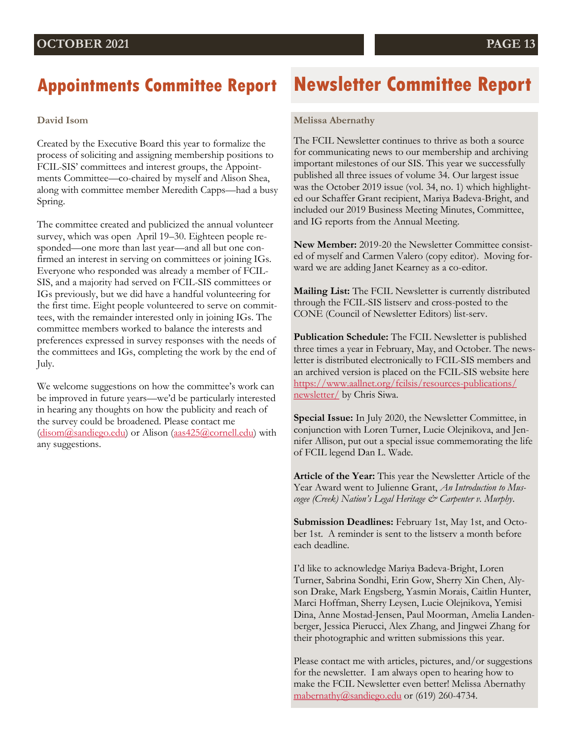## **Appointments Committee Report**

### **David Isom**

Created by the Executive Board this year to formalize the process of soliciting and assigning membership positions to FCIL-SIS' committees and interest groups, the Appointments Committee—co-chaired by myself and Alison Shea, along with committee member Meredith Capps—had a busy Spring.

The committee created and publicized the annual volunteer survey, which was open April 19–30. Eighteen people responded—one more than last year—and all but one confirmed an interest in serving on committees or joining IGs. Everyone who responded was already a member of FCIL-SIS, and a majority had served on FCIL-SIS committees or IGs previously, but we did have a handful volunteering for the first time. Eight people volunteered to serve on committees, with the remainder interested only in joining IGs. The committee members worked to balance the interests and preferences expressed in survey responses with the needs of the committees and IGs, completing the work by the end of July.

We welcome suggestions on how the committee's work can be improved in future years—we'd be particularly interested in hearing any thoughts on how the publicity and reach of the survey could be broadened. Please contact me ([disom@sandiego.edu\)](mailto:disom@sandiego.edu) or Alison ([aas425@cornell.edu\)](mailto:aas425@cornell.edu) with any suggestions.

## **Newsletter Committee Report**

### **Melissa Abernathy**

The FCIL Newsletter continues to thrive as both a source for communicating news to our membership and archiving important milestones of our SIS. This year we successfully published all three issues of volume 34. Our largest issue was the October 2019 issue (vol. 34, no. 1) which highlighted our Schaffer Grant recipient, Mariya Badeva-Bright, and included our 2019 Business Meeting Minutes, Committee, and IG reports from the Annual Meeting.

**New Member:** 2019-20 the Newsletter Committee consisted of myself and Carmen Valero (copy editor). Moving forward we are adding Janet Kearney as a co-editor.

**Mailing List:** The FCIL Newsletter is currently distributed through the FCIL-SIS listserv and cross-posted to the CONE (Council of Newsletter Editors) list-serv.

**Publication Schedule:** The FCIL Newsletter is published three times a year in February, May, and October. The newsletter is distributed electronically to FCIL-SIS members and an archived version is placed on the FCIL-SIS website here [https://www.aallnet.org/fcilsis/resources-publications/](https://www.aallnet.org/fcilsis/resources-publications/newsletter/) [newsletter/](https://www.aallnet.org/fcilsis/resources-publications/newsletter/) by Chris Siwa.

**Special Issue:** In July 2020, the Newsletter Committee, in conjunction with Loren Turner, Lucie Olejnikova, and Jennifer Allison, put out a special issue commemorating the life of FCIL legend Dan L. Wade.

**Article of the Year:** This year the Newsletter Article of the Year Award went to Julienne Grant, *An Introduction to Muscogee (Creek) Nation's Legal Heritage & Carpenter v. Murphy*.

**Submission Deadlines:** February 1st, May 1st, and October 1st. A reminder is sent to the listserv a month before each deadline.

I'd like to acknowledge Mariya Badeva-Bright, Loren Turner, Sabrina Sondhi, Erin Gow, Sherry Xin Chen, Alyson Drake, Mark Engsberg, Yasmin Morais, Caitlin Hunter, Marci Hoffman, Sherry Leysen, Lucie Olejnikova, Yemisi Dina, Anne Mostad-Jensen, Paul Moorman, Amelia Landenberger, Jessica Pierucci, Alex Zhang, and Jingwei Zhang for their photographic and written submissions this year.

Please contact me with articles, pictures, and/or suggestions for the newsletter. I am always open to hearing how to make the FCIL Newsletter even better! Melissa Abernathy [mabernathy@sandiego.edu](mailto:mabernathy@sandiego.edu) or (619) 260-4734.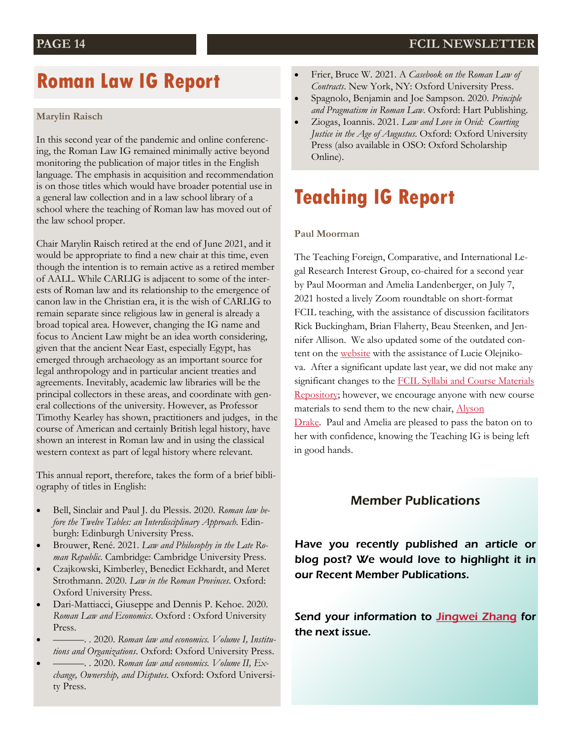## **Roman Law IG Report**

### **Marylin Raisch**

In this second year of the pandemic and online conferencing, the Roman Law IG remained minimally active beyond monitoring the publication of major titles in the English language. The emphasis in acquisition and recommendation is on those titles which would have broader potential use in a general law collection and in a law school library of a school where the teaching of Roman law has moved out of the law school proper.

Chair Marylin Raisch retired at the end of June 2021, and it would be appropriate to find a new chair at this time, even though the intention is to remain active as a retired member of AALL. While CARLIG is adjacent to some of the interests of Roman law and its relationship to the emergence of canon law in the Christian era, it is the wish of CARLIG to remain separate since religious law in general is already a broad topical area. However, changing the IG name and focus to Ancient Law might be an idea worth considering, given that the ancient Near East, especially Egypt, has emerged through archaeology as an important source for legal anthropology and in particular ancient treaties and agreements. Inevitably, academic law libraries will be the principal collectors in these areas, and coordinate with general collections of the university. However, as Professor Timothy Kearley has shown, practitioners and judges, in the course of American and certainly British legal history, have shown an interest in Roman law and in using the classical western context as part of legal history where relevant.

This annual report, therefore, takes the form of a brief bibliography of titles in English:

- Bell, Sinclair and Paul J. du Plessis. 2020. *Roman law before the Twelve Tables: an Interdisciplinary Approach*. Edinburgh: Edinburgh University Press.
- Brouwer, René. 2021. *Law and Philosophy in the Late Roman Republic*. Cambridge: Cambridge University Press.
- Czajkowski, Kimberley, Benedict Eckhardt, and Meret Strothmann. 2020. *Law in the Roman Provinces*. Oxford: Oxford University Press.
- Dari-Mattiacci, Giuseppe and Dennis P. Kehoe. 2020. *Roman Law and Economics*. Oxford : Oxford University Press.
- ———. . 2020. *Roman law and economics. Volume I, Institutions and Organizations*. Oxford: Oxford University Press.
- ———. . 2020. *Roman law and economics. Volume II, Exchange, Ownership, and Disputes*. Oxford: Oxford University Press.
- Frier, Bruce W. 2021. A *Casebook on the Roman Law of Contracts*. New York, NY: Oxford University Press.
- Spagnolo, Benjamin and Joe Sampson. 2020. *Principle and Pragmatism in Roman Law*. Oxford: Hart Publishing.
- Ziogas, Ioannis. 2021. *Law and Love in Ovid: Courting Justice in the Age of Augustus*. Oxford: Oxford University Press (also available in OSO: Oxford Scholarship Online).

## **Teaching IG Report**

### **Paul Moorman**

The Teaching Foreign, Comparative, and International Legal Research Interest Group, co-chaired for a second year by Paul Moorman and Amelia Landenberger, on July 7, 2021 hosted a lively Zoom roundtable on short-format FCIL teaching, with the assistance of discussion facilitators Rick Buckingham, Brian Flaherty, Beau Steenken, and Jennifer Allison. We also updated some of the outdated content on the [website](https://linkprotect.cudasvc.com/url?a=https%3a%2f%2fwww.aallnet.org%2ffcilsis%2feducation-training%2fteaching-fcil%2f&c=E,1,QkBb5U5vH8szF4NM5spAgd11AFMpJI8Wve0CxvHCsa0cliXizVh11aGBYwiQ2gfwxiSBUm8jSBf0VL4o1rguhvKgx_t10HhUgkUtiDAjJG2mPUaRLRpC&typo=1) with the assistance of Lucie Olejnikova. After a significant update last year, we did not make any significant changes to the FCIL Syllabi and Course Materials [Repository;](https://linkprotect.cudasvc.com/url?a=https%3a%2f%2fwww.aallnet.org%2ffcilsis%2feducation-training%2fteaching-fcil%2fsyllabi-course-materials-database%2f&c=E,1,NIgIx3hpjsoNpaTckGktDOsW_GE1ZJwps86fN7K3InfnJh6OoaVUzIVwAQl3npqf26fzd71M6lPA1grw7CgSGhPePyh7vJUU) however, we encourage anyone with new course materials to send them to the new chair, [Alyson](mailto:adrake4@fordham.edu) 

[Drake.](mailto:adrake4@fordham.edu) Paul and Amelia are pleased to pass the baton on to her with confidence, knowing the Teaching IG is being left in good hands.

### Member Publications

Have you recently published an article or blog post? We would love to highlight it in our Recent Member Publications.

Send your information to **[Jingwei Zhang](mailto:jingwei.zhang@law.rutgers.edu) for** the next issue.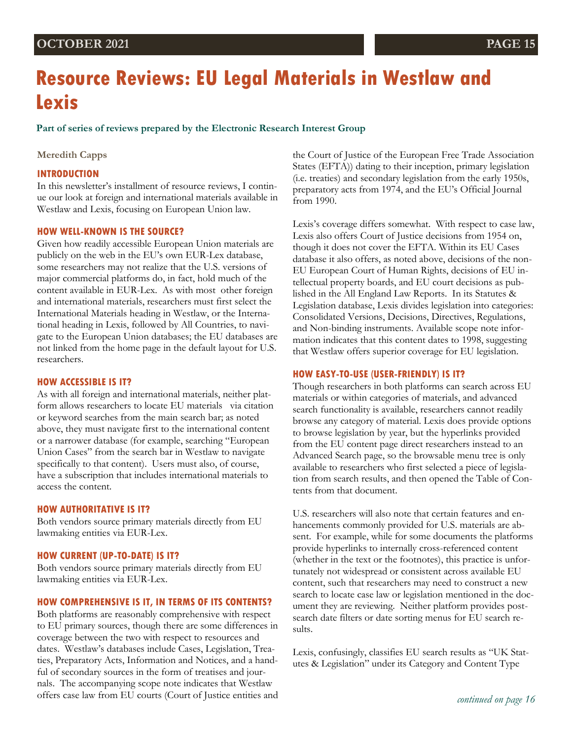## **OCTOBER 2021 PAGE 15**

# **Resource Reviews: EU Legal Materials in Westlaw and Lexis**

**Part of series of reviews prepared by the Electronic Research Interest Group** 

### **Meredith Capps**

### **INTRODUCTION**

In this newsletter's installment of resource reviews, I continue our look at foreign and international materials available in Westlaw and Lexis, focusing on European Union law.

### **HOW WELL-KNOWN IS THE SOURCE?**

Given how readily accessible European Union materials are publicly on the web in the EU's own EUR-Lex database, some researchers may not realize that the U.S. versions of major commercial platforms do, in fact, hold much of the content available in EUR-Lex. As with most other foreign and international materials, researchers must first select the International Materials heading in Westlaw, or the International heading in Lexis, followed by All Countries, to navigate to the European Union databases; the EU databases are not linked from the home page in the default layout for U.S. researchers.

### **HOW ACCESSIBLE IS IT?**

As with all foreign and international materials, neither platform allows researchers to locate EU materials via citation or keyword searches from the main search bar; as noted above, they must navigate first to the international content or a narrower database (for example, searching "European Union Cases" from the search bar in Westlaw to navigate specifically to that content). Users must also, of course, have a subscription that includes international materials to access the content.

### **HOW AUTHORITATIVE IS IT?**

Both vendors source primary materials directly from EU lawmaking entities via EUR-Lex.

### **HOW CURRENT (UP-TO-DATE) IS IT?**

Both vendors source primary materials directly from EU lawmaking entities via EUR-Lex.

### **HOW COMPREHENSIVE IS IT, IN TERMS OF ITS CONTENTS?**

Both platforms are reasonably comprehensive with respect to EU primary sources, though there are some differences in coverage between the two with respect to resources and dates. Westlaw's databases include Cases, Legislation, Treaties, Preparatory Acts, Information and Notices, and a handful of secondary sources in the form of treatises and journals. The accompanying scope note indicates that Westlaw offers case law from EU courts (Court of Justice entities and

the Court of Justice of the European Free Trade Association States (EFTA)) dating to their inception, primary legislation (i.e. treaties) and secondary legislation from the early 1950s, preparatory acts from 1974, and the EU's Official Journal from 1990.

Lexis's coverage differs somewhat. With respect to case law, Lexis also offers Court of Justice decisions from 1954 on, though it does not cover the EFTA. Within its EU Cases database it also offers, as noted above, decisions of the non-EU European Court of Human Rights, decisions of EU intellectual property boards, and EU court decisions as published in the All England Law Reports. In its Statutes & Legislation database, Lexis divides legislation into categories: Consolidated Versions, Decisions, Directives, Regulations, and Non-binding instruments. Available scope note information indicates that this content dates to 1998, suggesting that Westlaw offers superior coverage for EU legislation.

### **HOW EASY-TO-USE (USER-FRIENDLY) IS IT?**

Though researchers in both platforms can search across EU materials or within categories of materials, and advanced search functionality is available, researchers cannot readily browse any category of material. Lexis does provide options to browse legislation by year, but the hyperlinks provided from the EU content page direct researchers instead to an Advanced Search page, so the browsable menu tree is only available to researchers who first selected a piece of legislation from search results, and then opened the Table of Contents from that document.

U.S. researchers will also note that certain features and enhancements commonly provided for U.S. materials are absent. For example, while for some documents the platforms provide hyperlinks to internally cross-referenced content (whether in the text or the footnotes), this practice is unfortunately not widespread or consistent across available EU content, such that researchers may need to construct a new search to locate case law or legislation mentioned in the document they are reviewing. Neither platform provides postsearch date filters or date sorting menus for EU search results.

Lexis, confusingly, classifies EU search results as "UK Statutes & Legislation" under its Category and Content Type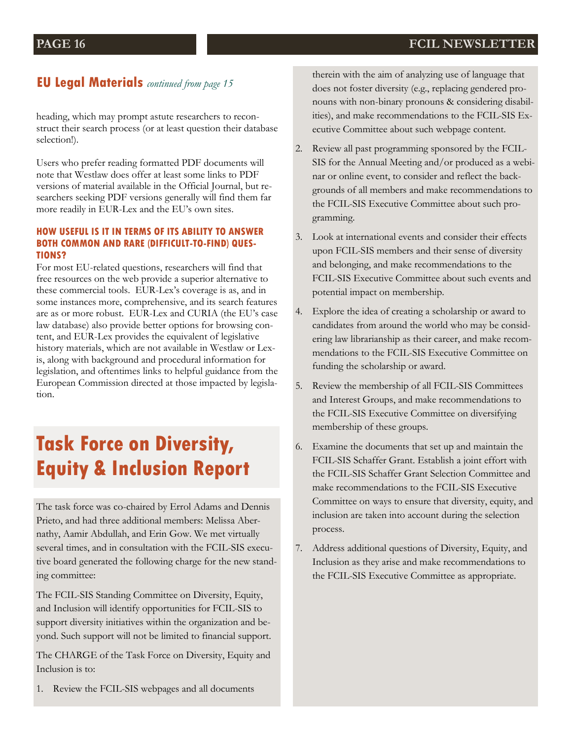### **EU Legal Materials** *continued from page 15*

heading, which may prompt astute researchers to reconstruct their search process (or at least question their database selection!).

Users who prefer reading formatted PDF documents will note that Westlaw does offer at least some links to PDF versions of material available in the Official Journal, but researchers seeking PDF versions generally will find them far more readily in EUR-Lex and the EU's own sites.

### **HOW USEFUL IS IT IN TERMS OF ITS ABILITY TO ANSWER BOTH COMMON AND RARE (DIFFICULT-TO-FIND) QUES-TIONS?**

For most EU-related questions, researchers will find that free resources on the web provide a superior alternative to these commercial tools. EUR-Lex's coverage is as, and in some instances more, comprehensive, and its search features are as or more robust. EUR-Lex and CURIA (the EU's case law database) also provide better options for browsing content, and EUR-Lex provides the equivalent of legislative history materials, which are not available in Westlaw or Lexis, along with background and procedural information for legislation, and oftentimes links to helpful guidance from the European Commission directed at those impacted by legislation.

## **Task Force on Diversity, Equity & Inclusion Report**

The task force was co-chaired by Errol Adams and Dennis Prieto, and had three additional members: Melissa Abernathy, Aamir Abdullah, and Erin Gow. We met virtually several times, and in consultation with the FCIL-SIS executive board generated the following charge for the new standing committee:

The FCIL-SIS Standing Committee on Diversity, Equity, and Inclusion will identify opportunities for FCIL-SIS to support diversity initiatives within the organization and beyond. Such support will not be limited to financial support.

The CHARGE of the Task Force on Diversity, Equity and Inclusion is to:

1. Review the FCIL-SIS webpages and all documents

therein with the aim of analyzing use of language that does not foster diversity (e.g., replacing gendered pronouns with non-binary pronouns & considering disabilities), and make recommendations to the FCIL-SIS Executive Committee about such webpage content.

- 2. Review all past programming sponsored by the FCIL-SIS for the Annual Meeting and/or produced as a webinar or online event, to consider and reflect the backgrounds of all members and make recommendations to the FCIL-SIS Executive Committee about such programming.
- 3. Look at international events and consider their effects upon FCIL-SIS members and their sense of diversity and belonging, and make recommendations to the FCIL-SIS Executive Committee about such events and potential impact on membership.
- 4. Explore the idea of creating a scholarship or award to candidates from around the world who may be considering law librarianship as their career, and make recommendations to the FCIL-SIS Executive Committee on funding the scholarship or award.
- 5. Review the membership of all FCIL-SIS Committees and Interest Groups, and make recommendations to the FCIL-SIS Executive Committee on diversifying membership of these groups.
- 6. Examine the documents that set up and maintain the FCIL-SIS Schaffer Grant. Establish a joint effort with the FCIL-SIS Schaffer Grant Selection Committee and make recommendations to the FCIL-SIS Executive Committee on ways to ensure that diversity, equity, and inclusion are taken into account during the selection process.
- 7. Address additional questions of Diversity, Equity, and Inclusion as they arise and make recommendations to the FCIL-SIS Executive Committee as appropriate.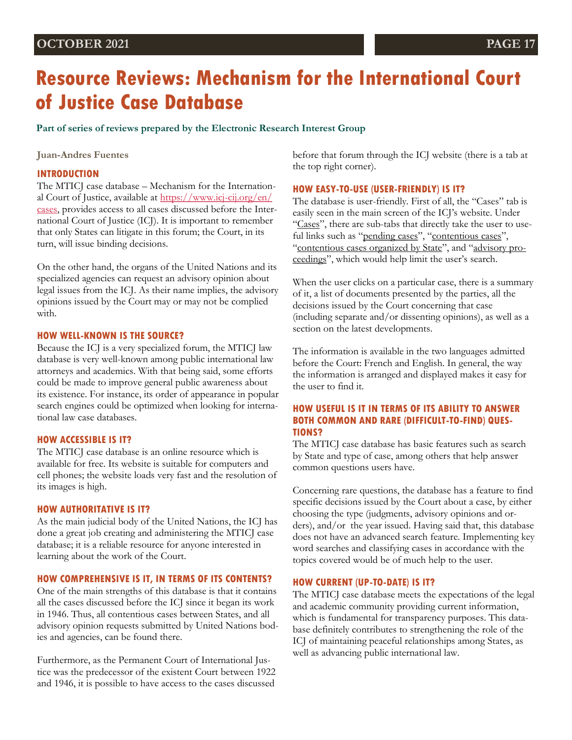### **OCTOBER 2021 PAGE 17**

# **Resource Reviews: Mechanism for the International Court of Justice Case Database**

**Part of series of reviews prepared by the Electronic Research Interest Group** 

**Juan-Andres Fuentes**

### **INTRODUCTION**

The MTICJ case database – Mechanism for the International Court of Justice, available at [https://www.icj-cij.org/en/](https://www.icj-cij.org/en/cases) [cases,](https://www.icj-cij.org/en/cases) provides access to all cases discussed before the International Court of Justice (ICJ). It is important to remember that only States can litigate in this forum; the Court, in its turn, will issue binding decisions.

On the other hand, the organs of the United Nations and its specialized agencies can request an advisory opinion about legal issues from the ICJ. As their name implies, the advisory opinions issued by the Court may or may not be complied with.

### **HOW WELL-KNOWN IS THE SOURCE?**

Because the ICJ is a very specialized forum, the MTICJ law database is very well-known among public international law attorneys and academics. With that being said, some efforts could be made to improve general public awareness about its existence. For instance, its order of appearance in popular search engines could be optimized when looking for international law case databases.

### **HOW ACCESSIBLE IS IT?**

The MTICJ case database is an online resource which is available for free. Its website is suitable for computers and cell phones; the website loads very fast and the resolution of its images is high.

### **HOW AUTHORITATIVE IS IT?**

As the main judicial body of the United Nations, the ICJ has done a great job creating and administering the MTICJ case database; it is a reliable resource for anyone interested in learning about the work of the Court.

#### **HOW COMPREHENSIVE IS IT, IN TERMS OF ITS CONTENTS?**

One of the main strengths of this database is that it contains all the cases discussed before the ICJ since it began its work in 1946. Thus, all contentious cases between States, and all advisory opinion requests submitted by United Nations bodies and agencies, can be found there.

Furthermore, as the Permanent Court of International Justice was the predecessor of the existent Court between 1922 and 1946, it is possible to have access to the cases discussed

before that forum through the ICJ website (there is a tab at the top right corner).

#### **HOW EASY-TO-USE (USER-FRIENDLY) IS IT?**

The database is user-friendly. First of all, the "Cases" tab is easily seen in the main screen of the ICJ's website. Under "Cases", there are sub-tabs that directly take the user to useful links such as "pending cases", "contentious cases", "contentious cases organized by State", and "advisory proceedings", which would help limit the user's search.

When the user clicks on a particular case, there is a summary of it, a list of documents presented by the parties, all the decisions issued by the Court concerning that case (including separate and/or dissenting opinions), as well as a section on the latest developments.

The information is available in the two languages admitted before the Court: French and English. In general, the way the information is arranged and displayed makes it easy for the user to find it.

### **HOW USEFUL IS IT IN TERMS OF ITS ABILITY TO ANSWER BOTH COMMON AND RARE (DIFFICULT-TO-FIND) QUES-TIONS?**

The MTICJ case database has basic features such as search by State and type of case, among others that help answer common questions users have.

Concerning rare questions, the database has a feature to find specific decisions issued by the Court about a case, by either choosing the type (judgments, advisory opinions and orders), and/or the year issued. Having said that, this database does not have an advanced search feature. Implementing key word searches and classifying cases in accordance with the topics covered would be of much help to the user.

### **HOW CURRENT (UP-TO-DATE) IS IT?**

The MTICJ case database meets the expectations of the legal and academic community providing current information, which is fundamental for transparency purposes. This database definitely contributes to strengthening the role of the ICJ of maintaining peaceful relationships among States, as well as advancing public international law.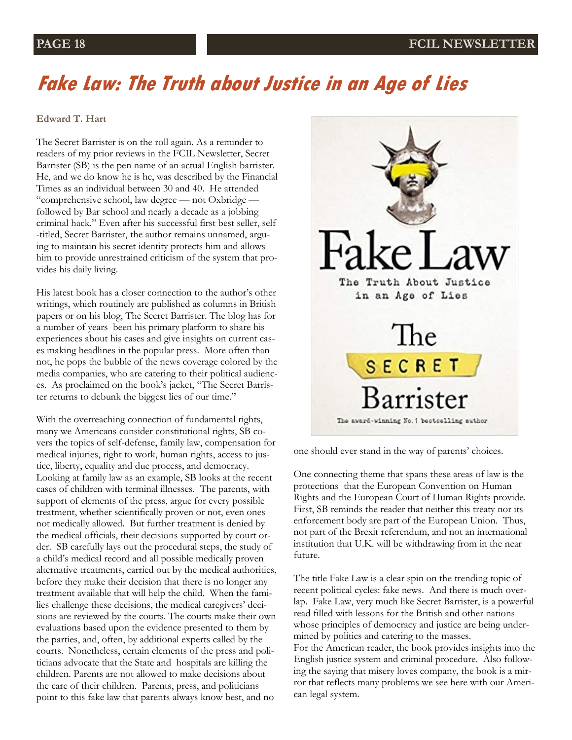# **Fake Law: The Truth about Justice in an Age of Lies**

### **Edward T. Hart**

The Secret Barrister is on the roll again. As a reminder to readers of my prior reviews in the FCIL Newsletter, Secret Barrister (SB) is the pen name of an actual English barrister. He, and we do know he is he, was described by the Financial Times as an individual between 30 and 40. He attended "comprehensive school, law degree — not Oxbridge followed by Bar school and nearly a decade as a jobbing criminal hack." Even after his successful first best seller, self -titled, Secret Barrister, the author remains unnamed, arguing to maintain his secret identity protects him and allows him to provide unrestrained criticism of the system that provides his daily living.

His latest book has a closer connection to the author's other writings, which routinely are published as columns in British papers or on his blog, The Secret Barrister. The blog has for a number of years been his primary platform to share his experiences about his cases and give insights on current cases making headlines in the popular press. More often than not, he pops the bubble of the news coverage colored by the media companies, who are catering to their political audiences. As proclaimed on the book's jacket, "The Secret Barrister returns to debunk the biggest lies of our time."

With the overreaching connection of fundamental rights, many we Americans consider constitutional rights, SB covers the topics of self-defense, family law, compensation for medical injuries, right to work, human rights, access to justice, liberty, equality and due process, and democracy. Looking at family law as an example, SB looks at the recent cases of children with terminal illnesses. The parents, with support of elements of the press, argue for every possible treatment, whether scientifically proven or not, even ones not medically allowed. But further treatment is denied by the medical officials, their decisions supported by court order. SB carefully lays out the procedural steps, the study of a child's medical record and all possible medically proven alternative treatments, carried out by the medical authorities, before they make their decision that there is no longer any treatment available that will help the child. When the families challenge these decisions, the medical caregivers' decisions are reviewed by the courts. The courts make their own evaluations based upon the evidence presented to them by the parties, and, often, by additional experts called by the courts. Nonetheless, certain elements of the press and politicians advocate that the State and hospitals are killing the children. Parents are not allowed to make decisions about the care of their children. Parents, press, and politicians point to this fake law that parents always know best, and no



one should ever stand in the way of parents' choices.

One connecting theme that spans these areas of law is the protections that the European Convention on Human Rights and the European Court of Human Rights provide. First, SB reminds the reader that neither this treaty nor its enforcement body are part of the European Union. Thus, not part of the Brexit referendum, and not an international institution that U.K. will be withdrawing from in the near future.

The title Fake Law is a clear spin on the trending topic of recent political cycles: fake news. And there is much overlap. Fake Law, very much like Secret Barrister, is a powerful read filled with lessons for the British and other nations whose principles of democracy and justice are being undermined by politics and catering to the masses.

For the American reader, the book provides insights into the English justice system and criminal procedure. Also following the saying that misery loves company, the book is a mirror that reflects many problems we see here with our American legal system.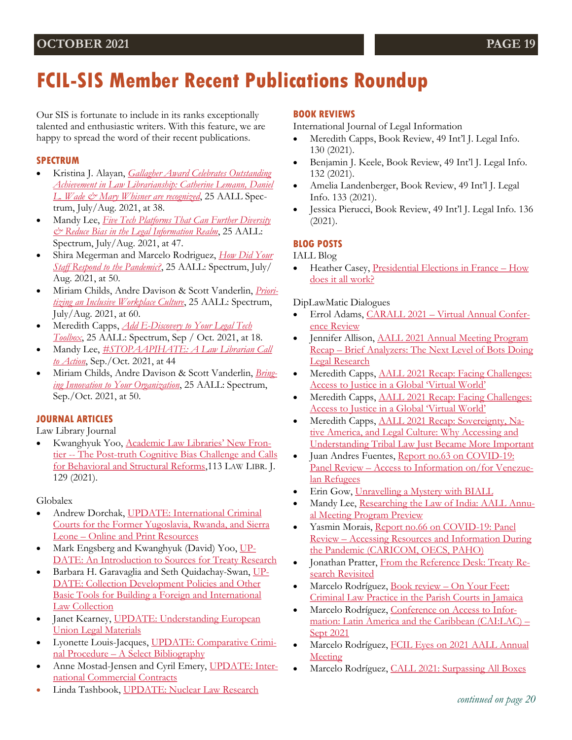# **FCIL-SIS Member Recent Publications Roundup**

Our SIS is fortunate to include in its ranks exceptionally talented and enthusiastic writers. With this feature, we are happy to spread the word of their recent publications.

### **SPECTRUM**

- Kristina J. Alayan, *[Gallagher Award Celebrates Outstanding](https://aallspectrum.aallnet.org/html5/reader/production/default.aspx?pubname=&edid=6d075872-38b9-4cf4-bdf4-f0612db7f38d)  [Achievement in Law Librarianship: Catherine Lemann, Daniel](https://aallspectrum.aallnet.org/html5/reader/production/default.aspx?pubname=&edid=6d075872-38b9-4cf4-bdf4-f0612db7f38d)  [L. Wade & Mary Whisner are recognized](https://aallspectrum.aallnet.org/html5/reader/production/default.aspx?pubname=&edid=6d075872-38b9-4cf4-bdf4-f0612db7f38d)*, 25 AALL Spectrum, July/Aug. 2021, at 38.
- Mandy Lee, *[Five Tech Platforms That Can Further Diversity](https://aallspectrum.aallnet.org/html5/reader/production/default.aspx?pubname=&edid=6d075872-38b9-4cf4-bdf4-f0612db7f38d)  [& Reduce Bias in the Legal Information Realm](https://aallspectrum.aallnet.org/html5/reader/production/default.aspx?pubname=&edid=6d075872-38b9-4cf4-bdf4-f0612db7f38d)*, 25 AALL: Spectrum, July/Aug. 2021, at 47.
- Shira Megerman and Marcelo Rodriguez, *[How Did Your](https://aallspectrum.aallnet.org/html5/reader/production/default.aspx?pubname=&edid=6d075872-38b9-4cf4-bdf4-f0612db7f38d)  [Staff Respond to the Pandemic?](https://aallspectrum.aallnet.org/html5/reader/production/default.aspx?pubname=&edid=6d075872-38b9-4cf4-bdf4-f0612db7f38d)*, 25 AALL: Spectrum, July/ Aug. 2021, at 50.
- Miriam Childs, Andre Davison & Scott Vanderlin, *[Priori](https://aallspectrum.aallnet.org/html5/reader/production/default.aspx?pubname=&edid=6d075872-38b9-4cf4-bdf4-f0612db7f38d)[tizing an Inclusive Workplace Culture](https://aallspectrum.aallnet.org/html5/reader/production/default.aspx?pubname=&edid=6d075872-38b9-4cf4-bdf4-f0612db7f38d)*, 25 AALL: Spectrum, July/Aug. 2021, at 60.
- Meredith Capps, *[Add E-Discovery to Your Legal Tech](https://aallspectrum.aallnet.org/html5/reader/production/default.aspx?pubname=&edid=3b8ae942-7b17-4a40-a01a-e204f4dd254b)  [Toolbox](https://aallspectrum.aallnet.org/html5/reader/production/default.aspx?pubname=&edid=3b8ae942-7b17-4a40-a01a-e204f4dd254b)*, 25 AALL: Spectrum, Sep / Oct. 2021, at 18.
- Mandy Lee, *[#STOPAAPIHATE: A Law Librarian Call](https://aallspectrum.aallnet.org/html5/reader/production/default.aspx?pubname=&edid=3b8ae942-7b17-4a40-a01a-e204f4dd254b)  [to Action](https://aallspectrum.aallnet.org/html5/reader/production/default.aspx?pubname=&edid=3b8ae942-7b17-4a40-a01a-e204f4dd254b)*, Sep./Oct. 2021, at 44
- Miriam Childs, Andre Davison & Scott Vanderlin, *[Bring](https://aallspectrum.aallnet.org/html5/reader/production/default.aspx?pubname=&edid=3b8ae942-7b17-4a40-a01a-e204f4dd254b)[ing Innovation to Your Organization](https://aallspectrum.aallnet.org/html5/reader/production/default.aspx?pubname=&edid=3b8ae942-7b17-4a40-a01a-e204f4dd254b)*, 25 AALL: Spectrum, Sep./Oct. 2021, at 50.

### **JOURNAL ARTICLES**

Law Library Journal

 Kwanghyuk Yoo, [Academic Law Libraries' New Fron](https://www.aallnet.org/llj_article/academic-law-libraries-new-frontier-the-post-truth-cognitive-bias-challenge-and-calls-for-behavioral-and-structural-reforms/)tier -- [The Post-truth Cognitive Bias Challenge and Calls](https://www.aallnet.org/llj_article/academic-law-libraries-new-frontier-the-post-truth-cognitive-bias-challenge-and-calls-for-behavioral-and-structural-reforms/)  [for Behavioral and Structural Reforms,](https://www.aallnet.org/llj_article/academic-law-libraries-new-frontier-the-post-truth-cognitive-bias-challenge-and-calls-for-behavioral-and-structural-reforms/)113 LAW LIBR. J. 129 (2021).

Globalex

- Andrew Dorchak, [UPDATE: International Criminal](https://www.nyulawglobal.org/globalex/International_Criminal_Courts1.html.)  [Courts for the Former Yugoslavia, Rwanda, and Sierra](https://www.nyulawglobal.org/globalex/International_Criminal_Courts1.html.)  Leone – [Online and Print Resources](https://www.nyulawglobal.org/globalex/International_Criminal_Courts1.html.)
- Mark Engsberg and Kwanghyuk (David) Yoo, [UP-](https://www.nyulawglobal.org/globalex/Treaty_Research1.html.)[DATE: An Introduction to Sources for Treaty Research](https://www.nyulawglobal.org/globalex/Treaty_Research1.html.)
- Barbara H. Garavaglia and Seth Quidachay-Swan, [UP-](https://www.nyulawglobal.org/globalex/International_Foreign_Collection_Development1.html)[DATE: Collection Development Policies and Other](https://www.nyulawglobal.org/globalex/International_Foreign_Collection_Development1.html)  [Basic Tools for Building a Foreign and International](https://www.nyulawglobal.org/globalex/International_Foreign_Collection_Development1.html)  [Law Collection](https://www.nyulawglobal.org/globalex/International_Foreign_Collection_Development1.html)
- Janet Kearney, [UPDATE: Understanding European](https://www.nyulawglobal.org/globalex/European_Union1.html.)  [Union Legal Materials](https://www.nyulawglobal.org/globalex/European_Union1.html.)
- Lyonette Louis-Jacques, [UPDATE: Comparative Crimi](https://www.nyulawglobal.org/globalex/Comparative_Criminal_Procedure1.html.)nal Procedure – [A Select Bibliography](https://www.nyulawglobal.org/globalex/Comparative_Criminal_Procedure1.html.)
- Anne Mostad-Jensen and Cyril Emery, [UPDATE: Inter](https://www.nyulawglobal.org/globalex/International_Commercial_Contracts1.html.)[national Commercial Contracts](https://www.nyulawglobal.org/globalex/International_Commercial_Contracts1.html.)
- Linda Tashbook, [UPDATE: Nuclear Law Research](https://www.nyulawglobal.org/globalex/Nuclear_Research1.html.)

### **BOOK REVIEWS**

International Journal of Legal Information

- Meredith Capps, Book Review, 49 Int'l J. Legal Info. 130 (2021).
- Benjamin J. Keele, Book Review, 49 Int'l J. Legal Info. 132 (2021).
- Amelia Landenberger, Book Review, 49 Int'l J. Legal Info. 133 (2021).
- Jessica Pierucci, Book Review, 49 Int'l J. Legal Info. 136 (2021).

### **BLOG POSTS**

IALL Blog

• Heather Casey, [Presidential Elections in France](https://iall.org/presidential-elections-in-france-how-does-it-all-work/) – How [does it all work?](https://iall.org/presidential-elections-in-france-how-does-it-all-work/)

DipLawMatic Dialogues

- Errol Adams, CARALL 2021 [Virtual Annual Confer](https://fcilsis.wordpress.com/2021/10/05/carall-2021-virtual-annual-conference-review/)[ence Review](https://fcilsis.wordpress.com/2021/10/05/carall-2021-virtual-annual-conference-review/)
- Jennifer Allison, [AALL 2021 Annual Meeting Program](https://fcilsis.wordpress.com/2021/08/24/aall-2021-annual-meeting-program-recap-brief-analyzers-the-next-level-of-bots-doing-legal-research/)  Recap – [Brief Analyzers: The Next Level of Bots Doing](https://fcilsis.wordpress.com/2021/08/24/aall-2021-annual-meeting-program-recap-brief-analyzers-the-next-level-of-bots-doing-legal-research/)  [Legal Research](https://fcilsis.wordpress.com/2021/08/24/aall-2021-annual-meeting-program-recap-brief-analyzers-the-next-level-of-bots-doing-legal-research/)
- Meredith Capps, **AALL 2021 Recap: Facing Challenges:** [Access to Justice in a Global 'Virtual World'](https://fcilsis.wordpress.com/2021/07/28/aall-2021-recap-facing-challenges-access-to-justice-in-a-global-virtual-world/)
- Meredith Capps, [AALL 2021 Recap: Facing Challenges:](https://fcilsis.wordpress.com/2021/07/28/aall-2021-recap-facing-challenges-access-to-justice-in-a-global-virtual-world/)  [Access to Justice in a Global 'Virtual World'](https://fcilsis.wordpress.com/2021/07/28/aall-2021-recap-facing-challenges-access-to-justice-in-a-global-virtual-world/)
- Meredith Capps, [AALL 2021 Recap: Sovereignty, Na](https://fcilsis.wordpress.com/2021/08/03/aall-2021-recap-sovereignty-native-america-and-legal-culture-why-accessing-and-understanding-tribal-law-just-became-more-important/)[tive America, and Legal Culture: Why Accessing and](https://fcilsis.wordpress.com/2021/08/03/aall-2021-recap-sovereignty-native-america-and-legal-culture-why-accessing-and-understanding-tribal-law-just-became-more-important/)  [Understanding Tribal Law Just Became More Important](https://fcilsis.wordpress.com/2021/08/03/aall-2021-recap-sovereignty-native-america-and-legal-culture-why-accessing-and-understanding-tribal-law-just-became-more-important/)
- Juan Andres Fuentes, [Report no.63 on COVID-19:](https://fcilsis.wordpress.com/2021/10/15/report-no-63-on-covid-19-panel-review-access-to-information-on-for-venezuelan-refugees/)  Panel Review – [Access to Information on/for Venezue](https://fcilsis.wordpress.com/2021/10/15/report-no-63-on-covid-19-panel-review-access-to-information-on-for-venezuelan-refugees/)[lan Refugees](https://fcilsis.wordpress.com/2021/10/15/report-no-63-on-covid-19-panel-review-access-to-information-on-for-venezuelan-refugees/)
- Erin Gow, [Unravelling a Mystery with BIALL](https://fcilsis.wordpress.com/2021/06/22/unravelling-a-mystery-with-biall/)
- Mandy Lee, [Researching the Law of India: AALL Annu](https://fcilsis.wordpress.com/2021/07/13/researching-the-law-of-india-aall-annual-meeting-program-preview/)[al Meeting Program Preview](https://fcilsis.wordpress.com/2021/07/13/researching-the-law-of-india-aall-annual-meeting-program-preview/)
- Vasmin Morais, Report no.66 on COVID-19: Panel Review – [Accessing Resources and Information During](https://fcilsis.wordpress.com/2021/10/25/report-no-66-on-covid-19-panel-review-accessing-resources-and-information-during-the-pandemic-caricom-oecs-paho/)  [the Pandemic \(CARICOM, OECS, PAHO\)](https://fcilsis.wordpress.com/2021/10/25/report-no-66-on-covid-19-panel-review-accessing-resources-and-information-during-the-pandemic-caricom-oecs-paho/)
- Jonathan Pratter, [From the Reference Desk: Treaty Re](https://fcilsis.wordpress.com/2021/05/18/from-the-reference-desk-treaty-research-revisited/)[search Revisited](https://fcilsis.wordpress.com/2021/05/18/from-the-reference-desk-treaty-research-revisited/)
- Marcelo Rodríguez, Book review [On Your Feet:](https://fcilsis.wordpress.com/2021/08/10/book-review-on-your-feet-criminal-law-practice-in-the-parish-courts-in-jamaica/)  [Criminal Law Practice in the Parish Courts in Jamaica](https://fcilsis.wordpress.com/2021/08/10/book-review-on-your-feet-criminal-law-practice-in-the-parish-courts-in-jamaica/)
- Marcelo Rodríguez, [Conference on Access to Infor](https://fcilsis.wordpress.com/2021/08/26/conference-on-access-to-information-latin-america-and-the-caribbean-cailac-sept-2021/)[mation: Latin America and the Caribbean \(CAI:LAC\)](https://fcilsis.wordpress.com/2021/08/26/conference-on-access-to-information-latin-america-and-the-caribbean-cailac-sept-2021/) – [Sept 2021](https://fcilsis.wordpress.com/2021/08/26/conference-on-access-to-information-latin-america-and-the-caribbean-cailac-sept-2021/)
- Marcelo Rodríguez, FCIL Eyes on 2021 AALL Annual [Meeting](https://fcilsis.wordpress.com/2021/07/30/fcil-eyes-on-2021-aall-annual-meeting/)
- Marcelo Rodríguez, [CALL 2021: Surpassing All Boxes](https://fcilsis.wordpress.com/2021/06/10/call-2021-surpassing-all-boxes/)